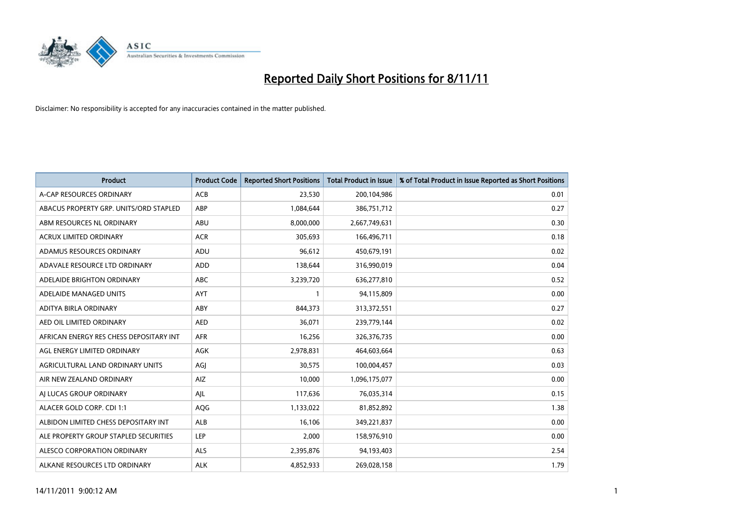

| <b>Product</b>                          | <b>Product Code</b> | <b>Reported Short Positions</b> | <b>Total Product in Issue</b> | % of Total Product in Issue Reported as Short Positions |
|-----------------------------------------|---------------------|---------------------------------|-------------------------------|---------------------------------------------------------|
| A-CAP RESOURCES ORDINARY                | <b>ACB</b>          | 23,530                          | 200,104,986                   | 0.01                                                    |
| ABACUS PROPERTY GRP. UNITS/ORD STAPLED  | ABP                 | 1,084,644                       | 386,751,712                   | 0.27                                                    |
| ABM RESOURCES NL ORDINARY               | ABU                 | 8,000,000                       | 2,667,749,631                 | 0.30                                                    |
| ACRUX LIMITED ORDINARY                  | <b>ACR</b>          | 305,693                         | 166,496,711                   | 0.18                                                    |
| ADAMUS RESOURCES ORDINARY               | ADU                 | 96,612                          | 450,679,191                   | 0.02                                                    |
| ADAVALE RESOURCE LTD ORDINARY           | ADD                 | 138,644                         | 316,990,019                   | 0.04                                                    |
| ADELAIDE BRIGHTON ORDINARY              | <b>ABC</b>          | 3,239,720                       | 636,277,810                   | 0.52                                                    |
| ADELAIDE MANAGED UNITS                  | <b>AYT</b>          |                                 | 94,115,809                    | 0.00                                                    |
| ADITYA BIRLA ORDINARY                   | ABY                 | 844,373                         | 313,372,551                   | 0.27                                                    |
| AED OIL LIMITED ORDINARY                | <b>AED</b>          | 36,071                          | 239,779,144                   | 0.02                                                    |
| AFRICAN ENERGY RES CHESS DEPOSITARY INT | <b>AFR</b>          | 16,256                          | 326,376,735                   | 0.00                                                    |
| AGL ENERGY LIMITED ORDINARY             | <b>AGK</b>          | 2,978,831                       | 464,603,664                   | 0.63                                                    |
| AGRICULTURAL LAND ORDINARY UNITS        | AGI                 | 30,575                          | 100,004,457                   | 0.03                                                    |
| AIR NEW ZEALAND ORDINARY                | <b>AIZ</b>          | 10,000                          | 1,096,175,077                 | 0.00                                                    |
| AI LUCAS GROUP ORDINARY                 | AJL                 | 117,636                         | 76,035,314                    | 0.15                                                    |
| ALACER GOLD CORP. CDI 1:1               | <b>AQG</b>          | 1,133,022                       | 81,852,892                    | 1.38                                                    |
| ALBIDON LIMITED CHESS DEPOSITARY INT    | <b>ALB</b>          | 16,106                          | 349,221,837                   | 0.00                                                    |
| ALE PROPERTY GROUP STAPLED SECURITIES   | LEP                 | 2,000                           | 158,976,910                   | 0.00                                                    |
| ALESCO CORPORATION ORDINARY             | <b>ALS</b>          | 2,395,876                       | 94,193,403                    | 2.54                                                    |
| ALKANE RESOURCES LTD ORDINARY           | <b>ALK</b>          | 4.852.933                       | 269,028,158                   | 1.79                                                    |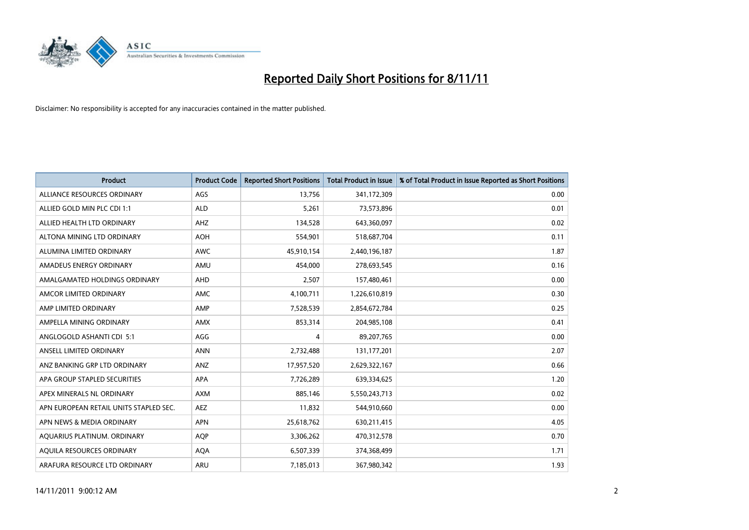

| <b>Product</b>                         | <b>Product Code</b> | <b>Reported Short Positions</b> | <b>Total Product in Issue</b> | % of Total Product in Issue Reported as Short Positions |
|----------------------------------------|---------------------|---------------------------------|-------------------------------|---------------------------------------------------------|
| ALLIANCE RESOURCES ORDINARY            | AGS                 | 13,756                          | 341,172,309                   | 0.00                                                    |
| ALLIED GOLD MIN PLC CDI 1:1            | <b>ALD</b>          | 5,261                           | 73,573,896                    | 0.01                                                    |
| ALLIED HEALTH LTD ORDINARY             | AHZ                 | 134,528                         | 643,360,097                   | 0.02                                                    |
| ALTONA MINING LTD ORDINARY             | <b>AOH</b>          | 554,901                         | 518,687,704                   | 0.11                                                    |
| ALUMINA LIMITED ORDINARY               | <b>AWC</b>          | 45,910,154                      | 2,440,196,187                 | 1.87                                                    |
| AMADEUS ENERGY ORDINARY                | AMU                 | 454,000                         | 278,693,545                   | 0.16                                                    |
| AMALGAMATED HOLDINGS ORDINARY          | <b>AHD</b>          | 2,507                           | 157,480,461                   | 0.00                                                    |
| AMCOR LIMITED ORDINARY                 | <b>AMC</b>          | 4,100,711                       | 1,226,610,819                 | 0.30                                                    |
| AMP LIMITED ORDINARY                   | AMP                 | 7,528,539                       | 2,854,672,784                 | 0.25                                                    |
| AMPELLA MINING ORDINARY                | <b>AMX</b>          | 853,314                         | 204,985,108                   | 0.41                                                    |
| ANGLOGOLD ASHANTI CDI 5:1              | AGG                 | 4                               | 89,207,765                    | 0.00                                                    |
| ANSELL LIMITED ORDINARY                | <b>ANN</b>          | 2,732,488                       | 131, 177, 201                 | 2.07                                                    |
| ANZ BANKING GRP LTD ORDINARY           | ANZ                 | 17,957,520                      | 2,629,322,167                 | 0.66                                                    |
| APA GROUP STAPLED SECURITIES           | <b>APA</b>          | 7,726,289                       | 639,334,625                   | 1.20                                                    |
| APEX MINERALS NL ORDINARY              | <b>AXM</b>          | 885,146                         | 5,550,243,713                 | 0.02                                                    |
| APN EUROPEAN RETAIL UNITS STAPLED SEC. | <b>AEZ</b>          | 11,832                          | 544,910,660                   | 0.00                                                    |
| APN NEWS & MEDIA ORDINARY              | <b>APN</b>          | 25,618,762                      | 630,211,415                   | 4.05                                                    |
| AQUARIUS PLATINUM. ORDINARY            | <b>AOP</b>          | 3,306,262                       | 470,312,578                   | 0.70                                                    |
| <b>AOUILA RESOURCES ORDINARY</b>       | <b>AQA</b>          | 6,507,339                       | 374,368,499                   | 1.71                                                    |
| ARAFURA RESOURCE LTD ORDINARY          | <b>ARU</b>          | 7,185,013                       | 367,980,342                   | 1.93                                                    |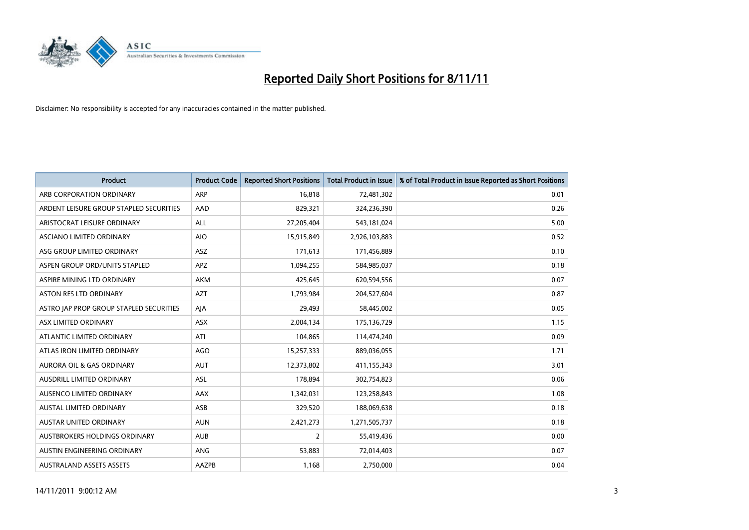

| <b>Product</b>                          | <b>Product Code</b> | <b>Reported Short Positions</b> | <b>Total Product in Issue</b> | % of Total Product in Issue Reported as Short Positions |
|-----------------------------------------|---------------------|---------------------------------|-------------------------------|---------------------------------------------------------|
| ARB CORPORATION ORDINARY                | <b>ARP</b>          | 16,818                          | 72,481,302                    | 0.01                                                    |
| ARDENT LEISURE GROUP STAPLED SECURITIES | AAD                 | 829,321                         | 324,236,390                   | 0.26                                                    |
| ARISTOCRAT LEISURE ORDINARY             | <b>ALL</b>          | 27,205,404                      | 543,181,024                   | 5.00                                                    |
| ASCIANO LIMITED ORDINARY                | <b>AIO</b>          | 15,915,849                      | 2,926,103,883                 | 0.52                                                    |
| ASG GROUP LIMITED ORDINARY              | <b>ASZ</b>          | 171,613                         | 171,456,889                   | 0.10                                                    |
| ASPEN GROUP ORD/UNITS STAPLED           | <b>APZ</b>          | 1,094,255                       | 584,985,037                   | 0.18                                                    |
| ASPIRE MINING LTD ORDINARY              | <b>AKM</b>          | 425,645                         | 620,594,556                   | 0.07                                                    |
| ASTON RES LTD ORDINARY                  | <b>AZT</b>          | 1,793,984                       | 204,527,604                   | 0.87                                                    |
| ASTRO JAP PROP GROUP STAPLED SECURITIES | AJA                 | 29,493                          | 58,445,002                    | 0.05                                                    |
| ASX LIMITED ORDINARY                    | <b>ASX</b>          | 2,004,134                       | 175,136,729                   | 1.15                                                    |
| ATLANTIC LIMITED ORDINARY               | ATI                 | 104,865                         | 114,474,240                   | 0.09                                                    |
| ATLAS IRON LIMITED ORDINARY             | AGO                 | 15,257,333                      | 889,036,055                   | 1.71                                                    |
| AURORA OIL & GAS ORDINARY               | AUT                 | 12,373,802                      | 411,155,343                   | 3.01                                                    |
| AUSDRILL LIMITED ORDINARY               | ASL                 | 178,894                         | 302,754,823                   | 0.06                                                    |
| AUSENCO LIMITED ORDINARY                | <b>AAX</b>          | 1,342,031                       | 123,258,843                   | 1.08                                                    |
| AUSTAL LIMITED ORDINARY                 | ASB                 | 329,520                         | 188,069,638                   | 0.18                                                    |
| AUSTAR UNITED ORDINARY                  | <b>AUN</b>          | 2,421,273                       | 1,271,505,737                 | 0.18                                                    |
| AUSTBROKERS HOLDINGS ORDINARY           | <b>AUB</b>          | 2                               | 55,419,436                    | 0.00                                                    |
| AUSTIN ENGINEERING ORDINARY             | <b>ANG</b>          | 53,883                          | 72,014,403                    | 0.07                                                    |
| <b>AUSTRALAND ASSETS ASSETS</b>         | AAZPB               | 1,168                           | 2,750,000                     | 0.04                                                    |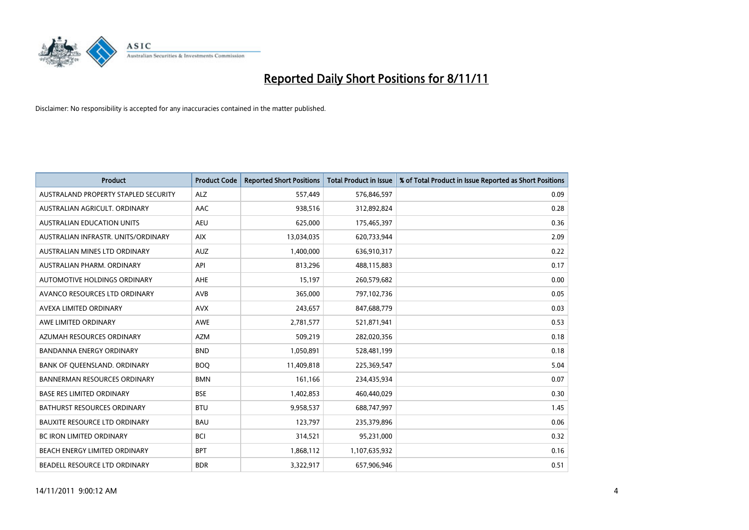

| <b>Product</b>                       | <b>Product Code</b> | <b>Reported Short Positions</b> | <b>Total Product in Issue</b> | % of Total Product in Issue Reported as Short Positions |
|--------------------------------------|---------------------|---------------------------------|-------------------------------|---------------------------------------------------------|
| AUSTRALAND PROPERTY STAPLED SECURITY | <b>ALZ</b>          | 557,449                         | 576,846,597                   | 0.09                                                    |
| AUSTRALIAN AGRICULT. ORDINARY        | AAC                 | 938,516                         | 312,892,824                   | 0.28                                                    |
| <b>AUSTRALIAN EDUCATION UNITS</b>    | <b>AEU</b>          | 625,000                         | 175,465,397                   | 0.36                                                    |
| AUSTRALIAN INFRASTR. UNITS/ORDINARY  | <b>AIX</b>          | 13,034,035                      | 620,733,944                   | 2.09                                                    |
| AUSTRALIAN MINES LTD ORDINARY        | <b>AUZ</b>          | 1,400,000                       | 636,910,317                   | 0.22                                                    |
| AUSTRALIAN PHARM, ORDINARY           | API                 | 813,296                         | 488,115,883                   | 0.17                                                    |
| AUTOMOTIVE HOLDINGS ORDINARY         | <b>AHE</b>          | 15,197                          | 260,579,682                   | 0.00                                                    |
| AVANCO RESOURCES LTD ORDINARY        | <b>AVB</b>          | 365,000                         | 797,102,736                   | 0.05                                                    |
| AVEXA LIMITED ORDINARY               | <b>AVX</b>          | 243,657                         | 847,688,779                   | 0.03                                                    |
| AWE LIMITED ORDINARY                 | <b>AWE</b>          | 2,781,577                       | 521,871,941                   | 0.53                                                    |
| AZUMAH RESOURCES ORDINARY            | <b>AZM</b>          | 509,219                         | 282,020,356                   | 0.18                                                    |
| <b>BANDANNA ENERGY ORDINARY</b>      | <b>BND</b>          | 1,050,891                       | 528,481,199                   | 0.18                                                    |
| BANK OF QUEENSLAND. ORDINARY         | <b>BOQ</b>          | 11,409,818                      | 225,369,547                   | 5.04                                                    |
| <b>BANNERMAN RESOURCES ORDINARY</b>  | <b>BMN</b>          | 161,166                         | 234,435,934                   | 0.07                                                    |
| <b>BASE RES LIMITED ORDINARY</b>     | <b>BSE</b>          | 1,402,853                       | 460,440,029                   | 0.30                                                    |
| BATHURST RESOURCES ORDINARY          | <b>BTU</b>          | 9,958,537                       | 688,747,997                   | 1.45                                                    |
| <b>BAUXITE RESOURCE LTD ORDINARY</b> | <b>BAU</b>          | 123,797                         | 235,379,896                   | 0.06                                                    |
| <b>BC IRON LIMITED ORDINARY</b>      | <b>BCI</b>          | 314,521                         | 95,231,000                    | 0.32                                                    |
| BEACH ENERGY LIMITED ORDINARY        | <b>BPT</b>          | 1,868,112                       | 1,107,635,932                 | 0.16                                                    |
| <b>BEADELL RESOURCE LTD ORDINARY</b> | <b>BDR</b>          | 3,322,917                       | 657,906,946                   | 0.51                                                    |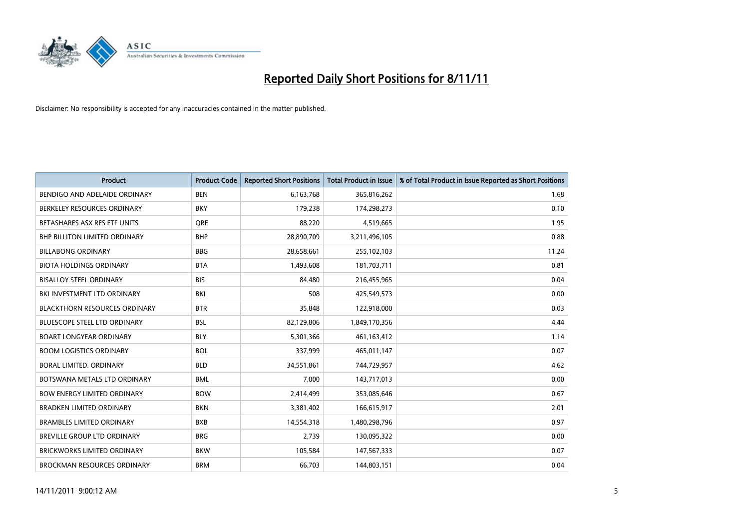

| <b>Product</b>                       | <b>Product Code</b> | <b>Reported Short Positions</b> | <b>Total Product in Issue</b> | % of Total Product in Issue Reported as Short Positions |
|--------------------------------------|---------------------|---------------------------------|-------------------------------|---------------------------------------------------------|
| BENDIGO AND ADELAIDE ORDINARY        | <b>BEN</b>          | 6,163,768                       | 365,816,262                   | 1.68                                                    |
| BERKELEY RESOURCES ORDINARY          | <b>BKY</b>          | 179,238                         | 174,298,273                   | 0.10                                                    |
| BETASHARES ASX RES ETF UNITS         | <b>ORE</b>          | 88,220                          | 4,519,665                     | 1.95                                                    |
| BHP BILLITON LIMITED ORDINARY        | <b>BHP</b>          | 28,890,709                      | 3,211,496,105                 | 0.88                                                    |
| <b>BILLABONG ORDINARY</b>            | <b>BBG</b>          | 28,658,661                      | 255,102,103                   | 11.24                                                   |
| <b>BIOTA HOLDINGS ORDINARY</b>       | <b>BTA</b>          | 1,493,608                       | 181,703,711                   | 0.81                                                    |
| <b>BISALLOY STEEL ORDINARY</b>       | <b>BIS</b>          | 84.480                          | 216,455,965                   | 0.04                                                    |
| BKI INVESTMENT LTD ORDINARY          | BKI                 | 508                             | 425,549,573                   | 0.00                                                    |
| <b>BLACKTHORN RESOURCES ORDINARY</b> | <b>BTR</b>          | 35,848                          | 122,918,000                   | 0.03                                                    |
| <b>BLUESCOPE STEEL LTD ORDINARY</b>  | <b>BSL</b>          | 82,129,806                      | 1,849,170,356                 | 4.44                                                    |
| <b>BOART LONGYEAR ORDINARY</b>       | <b>BLY</b>          | 5,301,366                       | 461,163,412                   | 1.14                                                    |
| <b>BOOM LOGISTICS ORDINARY</b>       | <b>BOL</b>          | 337,999                         | 465,011,147                   | 0.07                                                    |
| BORAL LIMITED, ORDINARY              | <b>BLD</b>          | 34,551,861                      | 744,729,957                   | 4.62                                                    |
| BOTSWANA METALS LTD ORDINARY         | <b>BML</b>          | 7,000                           | 143,717,013                   | 0.00                                                    |
| <b>BOW ENERGY LIMITED ORDINARY</b>   | <b>BOW</b>          | 2,414,499                       | 353,085,646                   | 0.67                                                    |
| <b>BRADKEN LIMITED ORDINARY</b>      | <b>BKN</b>          | 3,381,402                       | 166,615,917                   | 2.01                                                    |
| <b>BRAMBLES LIMITED ORDINARY</b>     | <b>BXB</b>          | 14,554,318                      | 1,480,298,796                 | 0.97                                                    |
| BREVILLE GROUP LTD ORDINARY          | <b>BRG</b>          | 2,739                           | 130,095,322                   | 0.00                                                    |
| <b>BRICKWORKS LIMITED ORDINARY</b>   | <b>BKW</b>          | 105,584                         | 147,567,333                   | 0.07                                                    |
| <b>BROCKMAN RESOURCES ORDINARY</b>   | <b>BRM</b>          | 66,703                          | 144,803,151                   | 0.04                                                    |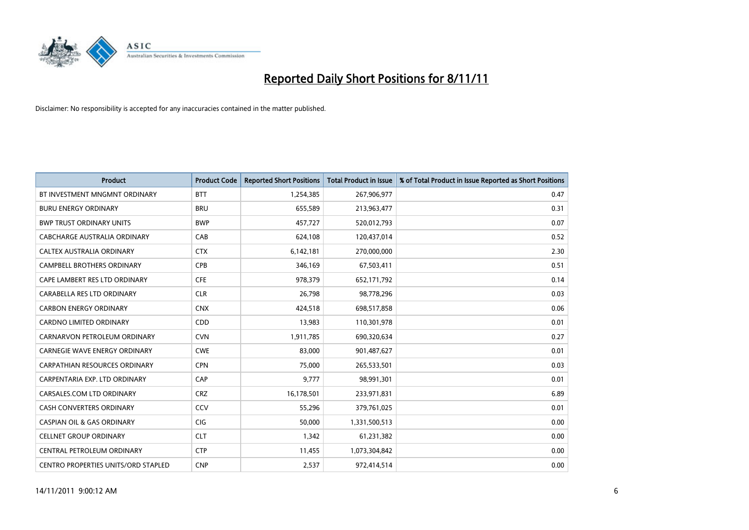

| <b>Product</b>                             | <b>Product Code</b> | <b>Reported Short Positions</b> | <b>Total Product in Issue</b> | % of Total Product in Issue Reported as Short Positions |
|--------------------------------------------|---------------------|---------------------------------|-------------------------------|---------------------------------------------------------|
| BT INVESTMENT MNGMNT ORDINARY              | <b>BTT</b>          | 1,254,385                       | 267,906,977                   | 0.47                                                    |
| <b>BURU ENERGY ORDINARY</b>                | <b>BRU</b>          | 655,589                         | 213,963,477                   | 0.31                                                    |
| <b>BWP TRUST ORDINARY UNITS</b>            | <b>BWP</b>          | 457,727                         | 520,012,793                   | 0.07                                                    |
| CABCHARGE AUSTRALIA ORDINARY               | CAB                 | 624,108                         | 120,437,014                   | 0.52                                                    |
| CALTEX AUSTRALIA ORDINARY                  | <b>CTX</b>          | 6,142,181                       | 270,000,000                   | 2.30                                                    |
| <b>CAMPBELL BROTHERS ORDINARY</b>          | <b>CPB</b>          | 346,169                         | 67,503,411                    | 0.51                                                    |
| CAPE LAMBERT RES LTD ORDINARY              | <b>CFE</b>          | 978.379                         | 652,171,792                   | 0.14                                                    |
| CARABELLA RES LTD ORDINARY                 | <b>CLR</b>          | 26,798                          | 98,778,296                    | 0.03                                                    |
| <b>CARBON ENERGY ORDINARY</b>              | <b>CNX</b>          | 424,518                         | 698,517,858                   | 0.06                                                    |
| <b>CARDNO LIMITED ORDINARY</b>             | CDD                 | 13,983                          | 110,301,978                   | 0.01                                                    |
| CARNARVON PETROLEUM ORDINARY               | <b>CVN</b>          | 1,911,785                       | 690,320,634                   | 0.27                                                    |
| <b>CARNEGIE WAVE ENERGY ORDINARY</b>       | <b>CWE</b>          | 83,000                          | 901,487,627                   | 0.01                                                    |
| <b>CARPATHIAN RESOURCES ORDINARY</b>       | <b>CPN</b>          | 75,000                          | 265,533,501                   | 0.03                                                    |
| CARPENTARIA EXP. LTD ORDINARY              | CAP                 | 9,777                           | 98,991,301                    | 0.01                                                    |
| CARSALES.COM LTD ORDINARY                  | <b>CRZ</b>          | 16,178,501                      | 233,971,831                   | 6.89                                                    |
| CASH CONVERTERS ORDINARY                   | CCV                 | 55,296                          | 379,761,025                   | 0.01                                                    |
| <b>CASPIAN OIL &amp; GAS ORDINARY</b>      | <b>CIG</b>          | 50,000                          | 1,331,500,513                 | 0.00                                                    |
| <b>CELLNET GROUP ORDINARY</b>              | <b>CLT</b>          | 1,342                           | 61,231,382                    | 0.00                                                    |
| CENTRAL PETROLEUM ORDINARY                 | <b>CTP</b>          | 11,455                          | 1,073,304,842                 | 0.00                                                    |
| <b>CENTRO PROPERTIES UNITS/ORD STAPLED</b> | <b>CNP</b>          | 2,537                           | 972,414,514                   | 0.00                                                    |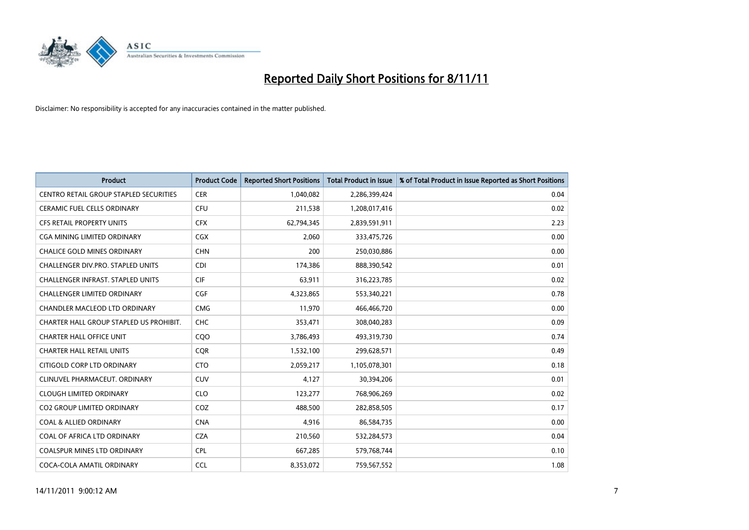

| <b>Product</b>                           | <b>Product Code</b> | <b>Reported Short Positions</b> | <b>Total Product in Issue</b> | % of Total Product in Issue Reported as Short Positions |
|------------------------------------------|---------------------|---------------------------------|-------------------------------|---------------------------------------------------------|
| CENTRO RETAIL GROUP STAPLED SECURITIES   | <b>CER</b>          | 1,040,082                       | 2,286,399,424                 | 0.04                                                    |
| CERAMIC FUEL CELLS ORDINARY              | <b>CFU</b>          | 211,538                         | 1,208,017,416                 | 0.02                                                    |
| <b>CFS RETAIL PROPERTY UNITS</b>         | <b>CFX</b>          | 62,794,345                      | 2,839,591,911                 | 2.23                                                    |
| CGA MINING LIMITED ORDINARY              | <b>CGX</b>          | 2,060                           | 333,475,726                   | 0.00                                                    |
| <b>CHALICE GOLD MINES ORDINARY</b>       | <b>CHN</b>          | 200                             | 250,030,886                   | 0.00                                                    |
| <b>CHALLENGER DIV.PRO. STAPLED UNITS</b> | <b>CDI</b>          | 174,386                         | 888,390,542                   | 0.01                                                    |
| <b>CHALLENGER INFRAST, STAPLED UNITS</b> | <b>CIF</b>          | 63,911                          | 316,223,785                   | 0.02                                                    |
| CHALLENGER LIMITED ORDINARY              | CGF                 | 4,323,865                       | 553,340,221                   | 0.78                                                    |
| CHANDLER MACLEOD LTD ORDINARY            | <b>CMG</b>          | 11,970                          | 466,466,720                   | 0.00                                                    |
| CHARTER HALL GROUP STAPLED US PROHIBIT.  | CHC                 | 353,471                         | 308,040,283                   | 0.09                                                    |
| <b>CHARTER HALL OFFICE UNIT</b>          | CQO                 | 3,786,493                       | 493,319,730                   | 0.74                                                    |
| <b>CHARTER HALL RETAIL UNITS</b>         | <b>COR</b>          | 1,532,100                       | 299,628,571                   | 0.49                                                    |
| CITIGOLD CORP LTD ORDINARY               | <b>CTO</b>          | 2,059,217                       | 1,105,078,301                 | 0.18                                                    |
| CLINUVEL PHARMACEUT, ORDINARY            | <b>CUV</b>          | 4,127                           | 30,394,206                    | 0.01                                                    |
| <b>CLOUGH LIMITED ORDINARY</b>           | <b>CLO</b>          | 123,277                         | 768,906,269                   | 0.02                                                    |
| CO2 GROUP LIMITED ORDINARY               | COZ                 | 488,500                         | 282,858,505                   | 0.17                                                    |
| <b>COAL &amp; ALLIED ORDINARY</b>        | <b>CNA</b>          | 4,916                           | 86,584,735                    | 0.00                                                    |
| COAL OF AFRICA LTD ORDINARY              | <b>CZA</b>          | 210,560                         | 532,284,573                   | 0.04                                                    |
| <b>COALSPUR MINES LTD ORDINARY</b>       | <b>CPL</b>          | 667,285                         | 579,768,744                   | 0.10                                                    |
| COCA-COLA AMATIL ORDINARY                | <b>CCL</b>          | 8,353,072                       | 759,567,552                   | 1.08                                                    |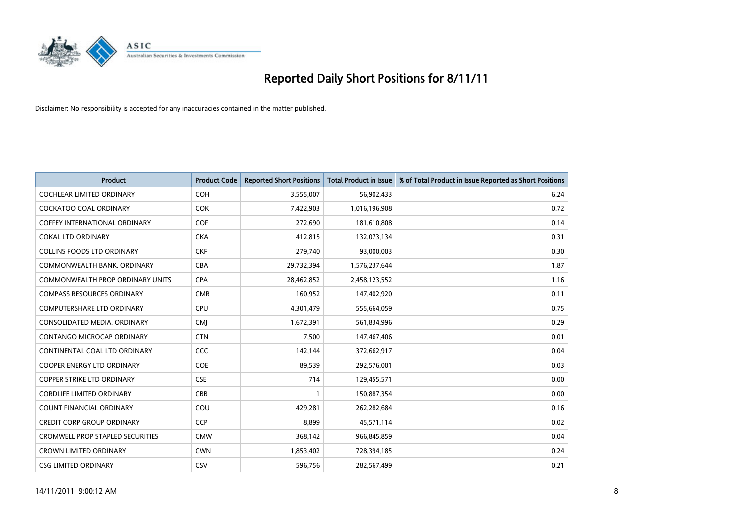

| <b>Product</b>                          | <b>Product Code</b> | <b>Reported Short Positions</b> | <b>Total Product in Issue</b> | % of Total Product in Issue Reported as Short Positions |
|-----------------------------------------|---------------------|---------------------------------|-------------------------------|---------------------------------------------------------|
| <b>COCHLEAR LIMITED ORDINARY</b>        | <b>COH</b>          | 3,555,007                       | 56,902,433                    | 6.24                                                    |
| COCKATOO COAL ORDINARY                  | <b>COK</b>          | 7,422,903                       | 1,016,196,908                 | 0.72                                                    |
| <b>COFFEY INTERNATIONAL ORDINARY</b>    | <b>COF</b>          | 272,690                         | 181,610,808                   | 0.14                                                    |
| <b>COKAL LTD ORDINARY</b>               | <b>CKA</b>          | 412,815                         | 132,073,134                   | 0.31                                                    |
| <b>COLLINS FOODS LTD ORDINARY</b>       | <b>CKF</b>          | 279,740                         | 93,000,003                    | 0.30                                                    |
| COMMONWEALTH BANK, ORDINARY             | CBA                 | 29,732,394                      | 1,576,237,644                 | 1.87                                                    |
| <b>COMMONWEALTH PROP ORDINARY UNITS</b> | <b>CPA</b>          | 28,462,852                      | 2,458,123,552                 | 1.16                                                    |
| <b>COMPASS RESOURCES ORDINARY</b>       | <b>CMR</b>          | 160,952                         | 147,402,920                   | 0.11                                                    |
| COMPUTERSHARE LTD ORDINARY              | <b>CPU</b>          | 4,301,479                       | 555,664,059                   | 0.75                                                    |
| CONSOLIDATED MEDIA, ORDINARY            | <b>CMI</b>          | 1,672,391                       | 561,834,996                   | 0.29                                                    |
| CONTANGO MICROCAP ORDINARY              | <b>CTN</b>          | 7,500                           | 147,467,406                   | 0.01                                                    |
| CONTINENTAL COAL LTD ORDINARY           | CCC                 | 142,144                         | 372,662,917                   | 0.04                                                    |
| <b>COOPER ENERGY LTD ORDINARY</b>       | COE                 | 89,539                          | 292,576,001                   | 0.03                                                    |
| <b>COPPER STRIKE LTD ORDINARY</b>       | <b>CSE</b>          | 714                             | 129,455,571                   | 0.00                                                    |
| <b>CORDLIFE LIMITED ORDINARY</b>        | CBB                 |                                 | 150,887,354                   | 0.00                                                    |
| COUNT FINANCIAL ORDINARY                | COU                 | 429,281                         | 262,282,684                   | 0.16                                                    |
| <b>CREDIT CORP GROUP ORDINARY</b>       | <b>CCP</b>          | 8,899                           | 45,571,114                    | 0.02                                                    |
| <b>CROMWELL PROP STAPLED SECURITIES</b> | <b>CMW</b>          | 368,142                         | 966,845,859                   | 0.04                                                    |
| <b>CROWN LIMITED ORDINARY</b>           | <b>CWN</b>          | 1,853,402                       | 728,394,185                   | 0.24                                                    |
| <b>CSG LIMITED ORDINARY</b>             | CSV                 | 596,756                         | 282,567,499                   | 0.21                                                    |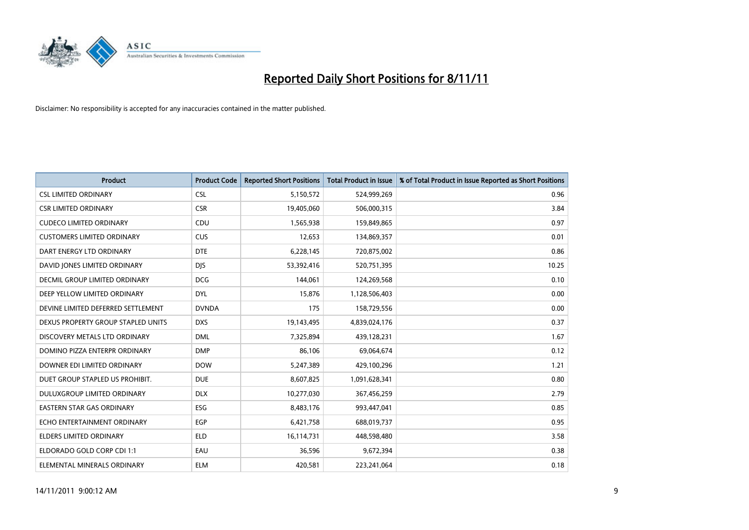

| <b>Product</b>                       | <b>Product Code</b> | <b>Reported Short Positions</b> | <b>Total Product in Issue</b> | % of Total Product in Issue Reported as Short Positions |
|--------------------------------------|---------------------|---------------------------------|-------------------------------|---------------------------------------------------------|
| <b>CSL LIMITED ORDINARY</b>          | <b>CSL</b>          | 5,150,572                       | 524,999,269                   | 0.96                                                    |
| <b>CSR LIMITED ORDINARY</b>          | <b>CSR</b>          | 19,405,060                      | 506,000,315                   | 3.84                                                    |
| <b>CUDECO LIMITED ORDINARY</b>       | CDU                 | 1,565,938                       | 159,849,865                   | 0.97                                                    |
| <b>CUSTOMERS LIMITED ORDINARY</b>    | <b>CUS</b>          | 12,653                          | 134,869,357                   | 0.01                                                    |
| DART ENERGY LTD ORDINARY             | <b>DTE</b>          | 6,228,145                       | 720,875,002                   | 0.86                                                    |
| DAVID JONES LIMITED ORDINARY         | <b>DJS</b>          | 53,392,416                      | 520,751,395                   | 10.25                                                   |
| <b>DECMIL GROUP LIMITED ORDINARY</b> | <b>DCG</b>          | 144,061                         | 124,269,568                   | 0.10                                                    |
| DEEP YELLOW LIMITED ORDINARY         | <b>DYL</b>          | 15,876                          | 1,128,506,403                 | 0.00                                                    |
| DEVINE LIMITED DEFERRED SETTLEMENT   | <b>DVNDA</b>        | 175                             | 158,729,556                   | 0.00                                                    |
| DEXUS PROPERTY GROUP STAPLED UNITS   | <b>DXS</b>          | 19,143,495                      | 4,839,024,176                 | 0.37                                                    |
| DISCOVERY METALS LTD ORDINARY        | <b>DML</b>          | 7,325,894                       | 439,128,231                   | 1.67                                                    |
| DOMINO PIZZA ENTERPR ORDINARY        | <b>DMP</b>          | 86,106                          | 69,064,674                    | 0.12                                                    |
| DOWNER EDI LIMITED ORDINARY          | <b>DOW</b>          | 5,247,389                       | 429,100,296                   | 1.21                                                    |
| DUET GROUP STAPLED US PROHIBIT.      | <b>DUE</b>          | 8,607,825                       | 1,091,628,341                 | 0.80                                                    |
| DULUXGROUP LIMITED ORDINARY          | <b>DLX</b>          | 10,277,030                      | 367,456,259                   | 2.79                                                    |
| EASTERN STAR GAS ORDINARY            | <b>ESG</b>          | 8,483,176                       | 993,447,041                   | 0.85                                                    |
| ECHO ENTERTAINMENT ORDINARY          | <b>EGP</b>          | 6,421,758                       | 688,019,737                   | 0.95                                                    |
| ELDERS LIMITED ORDINARY              | <b>ELD</b>          | 16,114,731                      | 448,598,480                   | 3.58                                                    |
| ELDORADO GOLD CORP CDI 1:1           | EAU                 | 36,596                          | 9,672,394                     | 0.38                                                    |
| ELEMENTAL MINERALS ORDINARY          | <b>ELM</b>          | 420,581                         | 223,241,064                   | 0.18                                                    |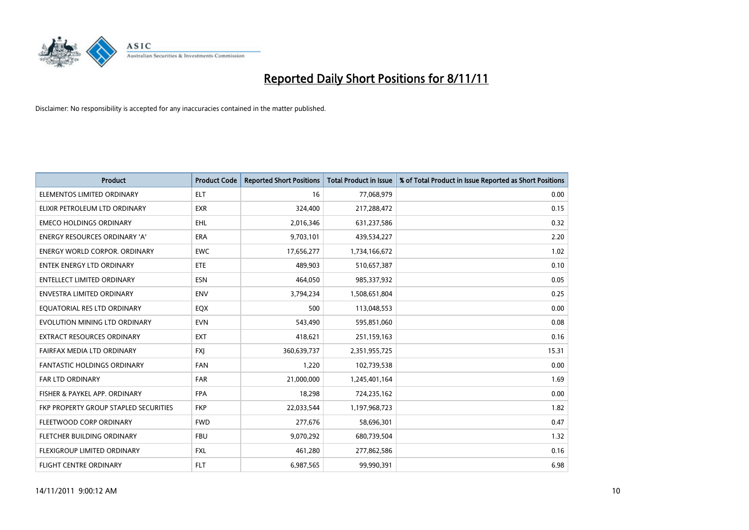

| <b>Product</b>                        | <b>Product Code</b> | <b>Reported Short Positions</b> | <b>Total Product in Issue</b> | % of Total Product in Issue Reported as Short Positions |
|---------------------------------------|---------------------|---------------------------------|-------------------------------|---------------------------------------------------------|
| ELEMENTOS LIMITED ORDINARY            | <b>ELT</b>          | 16                              | 77,068,979                    | 0.00                                                    |
| ELIXIR PETROLEUM LTD ORDINARY         | <b>EXR</b>          | 324,400                         | 217,288,472                   | 0.15                                                    |
| <b>EMECO HOLDINGS ORDINARY</b>        | <b>EHL</b>          | 2,016,346                       | 631,237,586                   | 0.32                                                    |
| ENERGY RESOURCES ORDINARY 'A'         | <b>ERA</b>          | 9,703,101                       | 439,534,227                   | 2.20                                                    |
| <b>ENERGY WORLD CORPOR, ORDINARY</b>  | <b>EWC</b>          | 17,656,277                      | 1,734,166,672                 | 1.02                                                    |
| ENTEK ENERGY LTD ORDINARY             | <b>ETE</b>          | 489,903                         | 510,657,387                   | 0.10                                                    |
| <b>ENTELLECT LIMITED ORDINARY</b>     | <b>ESN</b>          | 464,050                         | 985,337,932                   | 0.05                                                    |
| ENVESTRA LIMITED ORDINARY             | <b>ENV</b>          | 3,794,234                       | 1,508,651,804                 | 0.25                                                    |
| EQUATORIAL RES LTD ORDINARY           | <b>EQX</b>          | 500                             | 113,048,553                   | 0.00                                                    |
| EVOLUTION MINING LTD ORDINARY         | <b>EVN</b>          | 543,490                         | 595,851,060                   | 0.08                                                    |
| <b>EXTRACT RESOURCES ORDINARY</b>     | <b>EXT</b>          | 418,621                         | 251,159,163                   | 0.16                                                    |
| FAIRFAX MEDIA LTD ORDINARY            | <b>FXJ</b>          | 360,639,737                     | 2,351,955,725                 | 15.31                                                   |
| <b>FANTASTIC HOLDINGS ORDINARY</b>    | <b>FAN</b>          | 1,220                           | 102,739,538                   | 0.00                                                    |
| <b>FAR LTD ORDINARY</b>               | <b>FAR</b>          | 21,000,000                      | 1,245,401,164                 | 1.69                                                    |
| FISHER & PAYKEL APP. ORDINARY         | <b>FPA</b>          | 18,298                          | 724,235,162                   | 0.00                                                    |
| FKP PROPERTY GROUP STAPLED SECURITIES | <b>FKP</b>          | 22,033,544                      | 1,197,968,723                 | 1.82                                                    |
| FLEETWOOD CORP ORDINARY               | <b>FWD</b>          | 277,676                         | 58,696,301                    | 0.47                                                    |
| <b>FLETCHER BUILDING ORDINARY</b>     | <b>FBU</b>          | 9,070,292                       | 680,739,504                   | 1.32                                                    |
| <b>FLEXIGROUP LIMITED ORDINARY</b>    | <b>FXL</b>          | 461,280                         | 277,862,586                   | 0.16                                                    |
| <b>FLIGHT CENTRE ORDINARY</b>         | <b>FLT</b>          | 6,987,565                       | 99.990.391                    | 6.98                                                    |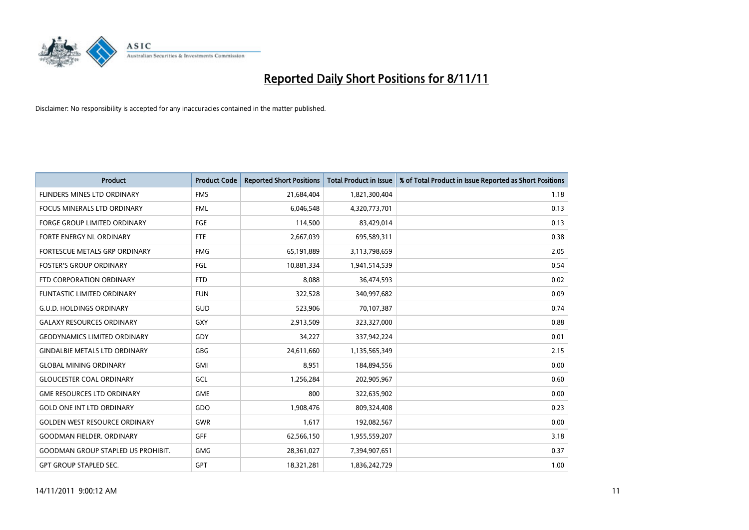

| <b>Product</b>                            | <b>Product Code</b> | <b>Reported Short Positions</b> | <b>Total Product in Issue</b> | % of Total Product in Issue Reported as Short Positions |
|-------------------------------------------|---------------------|---------------------------------|-------------------------------|---------------------------------------------------------|
| FLINDERS MINES LTD ORDINARY               | <b>FMS</b>          | 21,684,404                      | 1,821,300,404                 | 1.18                                                    |
| <b>FOCUS MINERALS LTD ORDINARY</b>        | <b>FML</b>          | 6,046,548                       | 4,320,773,701                 | 0.13                                                    |
| <b>FORGE GROUP LIMITED ORDINARY</b>       | FGE                 | 114,500                         | 83,429,014                    | 0.13                                                    |
| FORTE ENERGY NL ORDINARY                  | <b>FTE</b>          | 2,667,039                       | 695,589,311                   | 0.38                                                    |
| <b>FORTESCUE METALS GRP ORDINARY</b>      | <b>FMG</b>          | 65,191,889                      | 3,113,798,659                 | 2.05                                                    |
| <b>FOSTER'S GROUP ORDINARY</b>            | FGL                 | 10,881,334                      | 1,941,514,539                 | 0.54                                                    |
| FTD CORPORATION ORDINARY                  | <b>FTD</b>          | 8.088                           | 36,474,593                    | 0.02                                                    |
| <b>FUNTASTIC LIMITED ORDINARY</b>         | <b>FUN</b>          | 322,528                         | 340,997,682                   | 0.09                                                    |
| <b>G.U.D. HOLDINGS ORDINARY</b>           | <b>GUD</b>          | 523,906                         | 70,107,387                    | 0.74                                                    |
| <b>GALAXY RESOURCES ORDINARY</b>          | GXY                 | 2,913,509                       | 323,327,000                   | 0.88                                                    |
| <b>GEODYNAMICS LIMITED ORDINARY</b>       | GDY                 | 34,227                          | 337,942,224                   | 0.01                                                    |
| <b>GINDALBIE METALS LTD ORDINARY</b>      | <b>GBG</b>          | 24,611,660                      | 1,135,565,349                 | 2.15                                                    |
| <b>GLOBAL MINING ORDINARY</b>             | <b>GMI</b>          | 8,951                           | 184,894,556                   | 0.00                                                    |
| <b>GLOUCESTER COAL ORDINARY</b>           | GCL                 | 1,256,284                       | 202,905,967                   | 0.60                                                    |
| <b>GME RESOURCES LTD ORDINARY</b>         | GME                 | 800                             | 322,635,902                   | 0.00                                                    |
| <b>GOLD ONE INT LTD ORDINARY</b>          | GDO                 | 1,908,476                       | 809,324,408                   | 0.23                                                    |
| <b>GOLDEN WEST RESOURCE ORDINARY</b>      | <b>GWR</b>          | 1,617                           | 192,082,567                   | 0.00                                                    |
| <b>GOODMAN FIELDER. ORDINARY</b>          | <b>GFF</b>          | 62,566,150                      | 1,955,559,207                 | 3.18                                                    |
| <b>GOODMAN GROUP STAPLED US PROHIBIT.</b> | <b>GMG</b>          | 28,361,027                      | 7,394,907,651                 | 0.37                                                    |
| <b>GPT GROUP STAPLED SEC.</b>             | GPT                 | 18,321,281                      | 1,836,242,729                 | 1.00                                                    |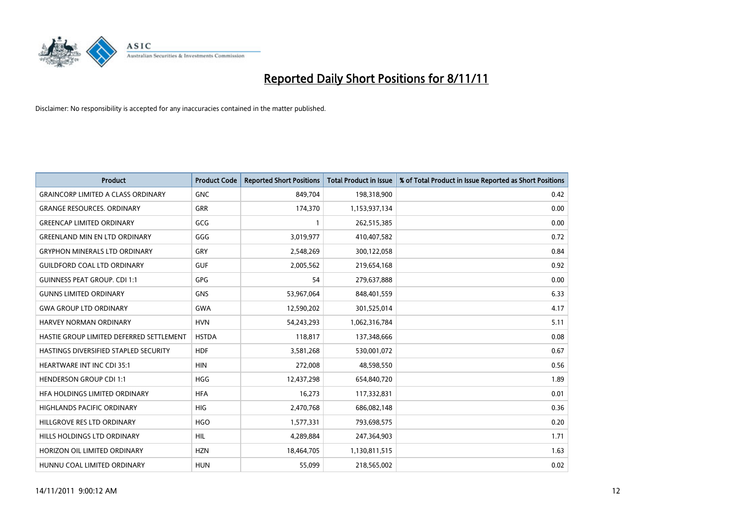

| <b>Product</b>                            | <b>Product Code</b> | <b>Reported Short Positions</b> | <b>Total Product in Issue</b> | % of Total Product in Issue Reported as Short Positions |
|-------------------------------------------|---------------------|---------------------------------|-------------------------------|---------------------------------------------------------|
| <b>GRAINCORP LIMITED A CLASS ORDINARY</b> | <b>GNC</b>          | 849,704                         | 198,318,900                   | 0.42                                                    |
| <b>GRANGE RESOURCES. ORDINARY</b>         | <b>GRR</b>          | 174,370                         | 1,153,937,134                 | 0.00                                                    |
| <b>GREENCAP LIMITED ORDINARY</b>          | GCG                 |                                 | 262,515,385                   | 0.00                                                    |
| <b>GREENLAND MIN EN LTD ORDINARY</b>      | GGG                 | 3,019,977                       | 410,407,582                   | 0.72                                                    |
| <b>GRYPHON MINERALS LTD ORDINARY</b>      | GRY                 | 2,548,269                       | 300,122,058                   | 0.84                                                    |
| <b>GUILDFORD COAL LTD ORDINARY</b>        | <b>GUF</b>          | 2,005,562                       | 219,654,168                   | 0.92                                                    |
| <b>GUINNESS PEAT GROUP. CDI 1:1</b>       | <b>GPG</b>          | 54                              | 279,637,888                   | 0.00                                                    |
| <b>GUNNS LIMITED ORDINARY</b>             | <b>GNS</b>          | 53,967,064                      | 848,401,559                   | 6.33                                                    |
| <b>GWA GROUP LTD ORDINARY</b>             | <b>GWA</b>          | 12,590,202                      | 301,525,014                   | 4.17                                                    |
| <b>HARVEY NORMAN ORDINARY</b>             | <b>HVN</b>          | 54,243,293                      | 1,062,316,784                 | 5.11                                                    |
| HASTIE GROUP LIMITED DEFERRED SETTLEMENT  | <b>HSTDA</b>        | 118,817                         | 137,348,666                   | 0.08                                                    |
| HASTINGS DIVERSIFIED STAPLED SECURITY     | <b>HDF</b>          | 3,581,268                       | 530,001,072                   | 0.67                                                    |
| <b>HEARTWARE INT INC CDI 35:1</b>         | <b>HIN</b>          | 272,008                         | 48,598,550                    | 0.56                                                    |
| <b>HENDERSON GROUP CDI 1:1</b>            | <b>HGG</b>          | 12,437,298                      | 654,840,720                   | 1.89                                                    |
| HFA HOLDINGS LIMITED ORDINARY             | <b>HFA</b>          | 16,273                          | 117,332,831                   | 0.01                                                    |
| HIGHLANDS PACIFIC ORDINARY                | <b>HIG</b>          | 2,470,768                       | 686,082,148                   | 0.36                                                    |
| HILLGROVE RES LTD ORDINARY                | <b>HGO</b>          | 1,577,331                       | 793,698,575                   | 0.20                                                    |
| HILLS HOLDINGS LTD ORDINARY               | HIL                 | 4,289,884                       | 247,364,903                   | 1.71                                                    |
| HORIZON OIL LIMITED ORDINARY              | <b>HZN</b>          | 18,464,705                      | 1,130,811,515                 | 1.63                                                    |
| HUNNU COAL LIMITED ORDINARY               | <b>HUN</b>          | 55.099                          | 218,565,002                   | 0.02                                                    |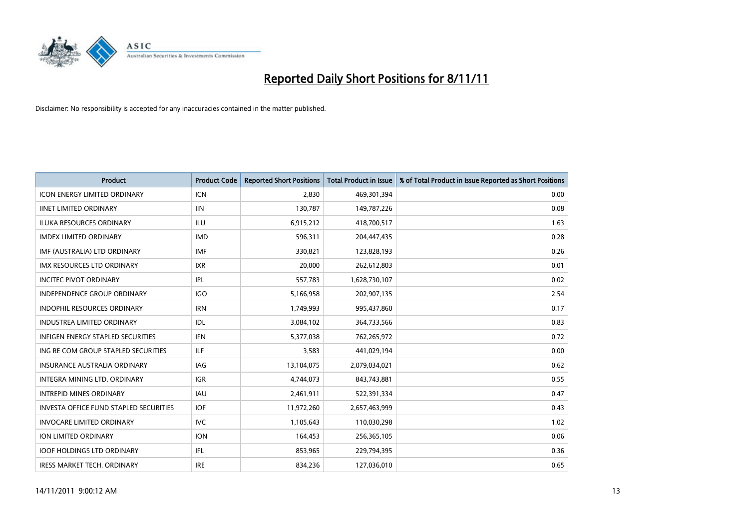

| <b>Product</b>                                | <b>Product Code</b> | <b>Reported Short Positions</b> | <b>Total Product in Issue</b> | % of Total Product in Issue Reported as Short Positions |
|-----------------------------------------------|---------------------|---------------------------------|-------------------------------|---------------------------------------------------------|
| <b>ICON ENERGY LIMITED ORDINARY</b>           | <b>ICN</b>          | 2,830                           | 469,301,394                   | 0.00                                                    |
| <b>IINET LIMITED ORDINARY</b>                 | <b>IIN</b>          | 130,787                         | 149,787,226                   | 0.08                                                    |
| <b>ILUKA RESOURCES ORDINARY</b>               | ILU                 | 6,915,212                       | 418,700,517                   | 1.63                                                    |
| <b>IMDEX LIMITED ORDINARY</b>                 | <b>IMD</b>          | 596,311                         | 204,447,435                   | 0.28                                                    |
| IMF (AUSTRALIA) LTD ORDINARY                  | <b>IMF</b>          | 330.821                         | 123,828,193                   | 0.26                                                    |
| <b>IMX RESOURCES LTD ORDINARY</b>             | <b>IXR</b>          | 20,000                          | 262,612,803                   | 0.01                                                    |
| <b>INCITEC PIVOT ORDINARY</b>                 | IPL                 | 557,783                         | 1,628,730,107                 | 0.02                                                    |
| <b>INDEPENDENCE GROUP ORDINARY</b>            | <b>IGO</b>          | 5,166,958                       | 202,907,135                   | 2.54                                                    |
| INDOPHIL RESOURCES ORDINARY                   | <b>IRN</b>          | 1,749,993                       | 995,437,860                   | 0.17                                                    |
| <b>INDUSTREA LIMITED ORDINARY</b>             | IDL                 | 3,084,102                       | 364,733,566                   | 0.83                                                    |
| <b>INFIGEN ENERGY STAPLED SECURITIES</b>      | <b>IFN</b>          | 5,377,038                       | 762,265,972                   | 0.72                                                    |
| ING RE COM GROUP STAPLED SECURITIES           | ILF.                | 3,583                           | 441,029,194                   | 0.00                                                    |
| <b>INSURANCE AUSTRALIA ORDINARY</b>           | IAG                 | 13,104,075                      | 2,079,034,021                 | 0.62                                                    |
| <b>INTEGRA MINING LTD, ORDINARY</b>           | <b>IGR</b>          | 4,744,073                       | 843,743,881                   | 0.55                                                    |
| <b>INTREPID MINES ORDINARY</b>                | <b>IAU</b>          | 2,461,911                       | 522,391,334                   | 0.47                                                    |
| <b>INVESTA OFFICE FUND STAPLED SECURITIES</b> | <b>IOF</b>          | 11,972,260                      | 2,657,463,999                 | 0.43                                                    |
| <b>INVOCARE LIMITED ORDINARY</b>              | <b>IVC</b>          | 1,105,643                       | 110,030,298                   | 1.02                                                    |
| ION LIMITED ORDINARY                          | <b>ION</b>          | 164,453                         | 256,365,105                   | 0.06                                                    |
| <b>IOOF HOLDINGS LTD ORDINARY</b>             | IFL.                | 853,965                         | 229,794,395                   | 0.36                                                    |
| <b>IRESS MARKET TECH. ORDINARY</b>            | <b>IRE</b>          | 834.236                         | 127,036,010                   | 0.65                                                    |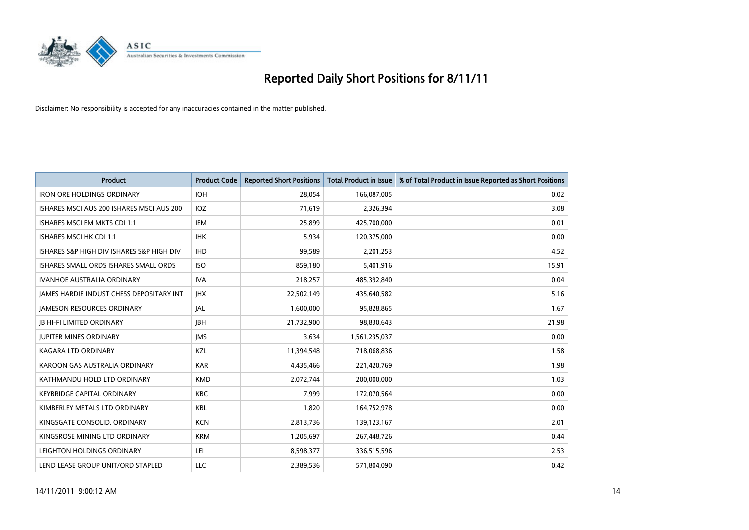

| <b>Product</b>                            | <b>Product Code</b> | <b>Reported Short Positions</b> | <b>Total Product in Issue</b> | % of Total Product in Issue Reported as Short Positions |
|-------------------------------------------|---------------------|---------------------------------|-------------------------------|---------------------------------------------------------|
| <b>IRON ORE HOLDINGS ORDINARY</b>         | <b>IOH</b>          | 28,054                          | 166,087,005                   | 0.02                                                    |
| ISHARES MSCI AUS 200 ISHARES MSCI AUS 200 | <b>IOZ</b>          | 71,619                          | 2,326,394                     | 3.08                                                    |
| <b>ISHARES MSCI EM MKTS CDI 1:1</b>       | IEM                 | 25,899                          | 425,700,000                   | 0.01                                                    |
| ISHARES MSCI HK CDI 1:1                   | <b>IHK</b>          | 5,934                           | 120,375,000                   | 0.00                                                    |
| ISHARES S&P HIGH DIV ISHARES S&P HIGH DIV | <b>IHD</b>          | 99,589                          | 2,201,253                     | 4.52                                                    |
| ISHARES SMALL ORDS ISHARES SMALL ORDS     | <b>ISO</b>          | 859,180                         | 5,401,916                     | 15.91                                                   |
| <b>IVANHOE AUSTRALIA ORDINARY</b>         | <b>IVA</b>          | 218,257                         | 485,392,840                   | 0.04                                                    |
| JAMES HARDIE INDUST CHESS DEPOSITARY INT  | <b>IHX</b>          | 22,502,149                      | 435,640,582                   | 5.16                                                    |
| <b>JAMESON RESOURCES ORDINARY</b>         | <b>JAL</b>          | 1,600,000                       | 95,828,865                    | 1.67                                                    |
| <b>JB HI-FI LIMITED ORDINARY</b>          | <b>IBH</b>          | 21,732,900                      | 98,830,643                    | 21.98                                                   |
| <b>JUPITER MINES ORDINARY</b>             | <b>IMS</b>          | 3,634                           | 1,561,235,037                 | 0.00                                                    |
| <b>KAGARA LTD ORDINARY</b>                | <b>KZL</b>          | 11,394,548                      | 718,068,836                   | 1.58                                                    |
| KAROON GAS AUSTRALIA ORDINARY             | <b>KAR</b>          | 4,435,466                       | 221,420,769                   | 1.98                                                    |
| KATHMANDU HOLD LTD ORDINARY               | <b>KMD</b>          | 2,072,744                       | 200,000,000                   | 1.03                                                    |
| <b>KEYBRIDGE CAPITAL ORDINARY</b>         | <b>KBC</b>          | 7,999                           | 172,070,564                   | 0.00                                                    |
| KIMBERLEY METALS LTD ORDINARY             | <b>KBL</b>          | 1,820                           | 164,752,978                   | 0.00                                                    |
| KINGSGATE CONSOLID, ORDINARY              | <b>KCN</b>          | 2,813,736                       | 139,123,167                   | 2.01                                                    |
| KINGSROSE MINING LTD ORDINARY             | <b>KRM</b>          | 1,205,697                       | 267,448,726                   | 0.44                                                    |
| LEIGHTON HOLDINGS ORDINARY                | LEI                 | 8,598,377                       | 336,515,596                   | 2.53                                                    |
| LEND LEASE GROUP UNIT/ORD STAPLED         | LLC                 | 2,389,536                       | 571,804,090                   | 0.42                                                    |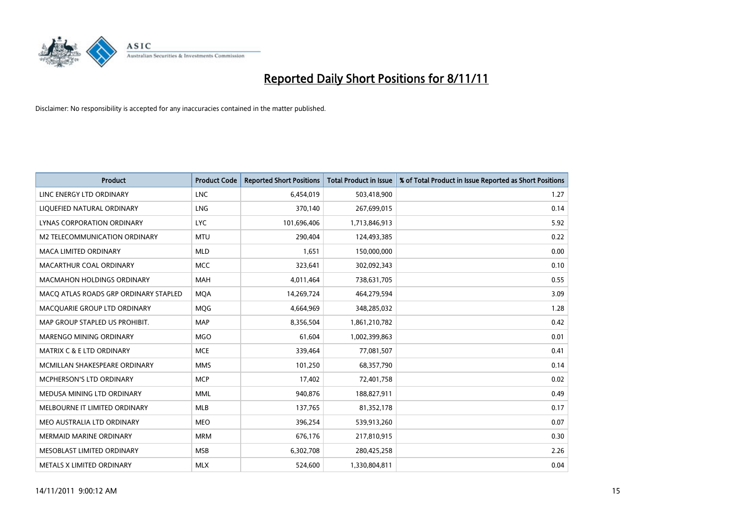

| <b>Product</b>                        | <b>Product Code</b> | <b>Reported Short Positions</b> | <b>Total Product in Issue</b> | % of Total Product in Issue Reported as Short Positions |
|---------------------------------------|---------------------|---------------------------------|-------------------------------|---------------------------------------------------------|
| LINC ENERGY LTD ORDINARY              | <b>LNC</b>          | 6,454,019                       | 503,418,900                   | 1.27                                                    |
| LIQUEFIED NATURAL ORDINARY            | LNG                 | 370,140                         | 267,699,015                   | 0.14                                                    |
| LYNAS CORPORATION ORDINARY            | <b>LYC</b>          | 101,696,406                     | 1,713,846,913                 | 5.92                                                    |
| M2 TELECOMMUNICATION ORDINARY         | <b>MTU</b>          | 290,404                         | 124,493,385                   | 0.22                                                    |
| <b>MACA LIMITED ORDINARY</b>          | <b>MLD</b>          | 1,651                           | 150,000,000                   | 0.00                                                    |
| MACARTHUR COAL ORDINARY               | <b>MCC</b>          | 323,641                         | 302,092,343                   | 0.10                                                    |
| <b>MACMAHON HOLDINGS ORDINARY</b>     | <b>MAH</b>          | 4,011,464                       | 738,631,705                   | 0.55                                                    |
| MACO ATLAS ROADS GRP ORDINARY STAPLED | <b>MQA</b>          | 14,269,724                      | 464,279,594                   | 3.09                                                    |
| MACQUARIE GROUP LTD ORDINARY          | <b>MOG</b>          | 4,664,969                       | 348,285,032                   | 1.28                                                    |
| MAP GROUP STAPLED US PROHIBIT.        | <b>MAP</b>          | 8,356,504                       | 1,861,210,782                 | 0.42                                                    |
| <b>MARENGO MINING ORDINARY</b>        | <b>MGO</b>          | 61,604                          | 1,002,399,863                 | 0.01                                                    |
| <b>MATRIX C &amp; E LTD ORDINARY</b>  | <b>MCE</b>          | 339,464                         | 77,081,507                    | 0.41                                                    |
| MCMILLAN SHAKESPEARE ORDINARY         | <b>MMS</b>          | 101,250                         | 68,357,790                    | 0.14                                                    |
| <b>MCPHERSON'S LTD ORDINARY</b>       | <b>MCP</b>          | 17,402                          | 72,401,758                    | 0.02                                                    |
| MEDUSA MINING LTD ORDINARY            | <b>MML</b>          | 940,876                         | 188,827,911                   | 0.49                                                    |
| MELBOURNE IT LIMITED ORDINARY         | <b>MLB</b>          | 137,765                         | 81,352,178                    | 0.17                                                    |
| MEO AUSTRALIA LTD ORDINARY            | <b>MEO</b>          | 396,254                         | 539,913,260                   | 0.07                                                    |
| <b>MERMAID MARINE ORDINARY</b>        | <b>MRM</b>          | 676,176                         | 217,810,915                   | 0.30                                                    |
| MESOBLAST LIMITED ORDINARY            | <b>MSB</b>          | 6,302,708                       | 280,425,258                   | 2.26                                                    |
| METALS X LIMITED ORDINARY             | <b>MLX</b>          | 524.600                         | 1,330,804,811                 | 0.04                                                    |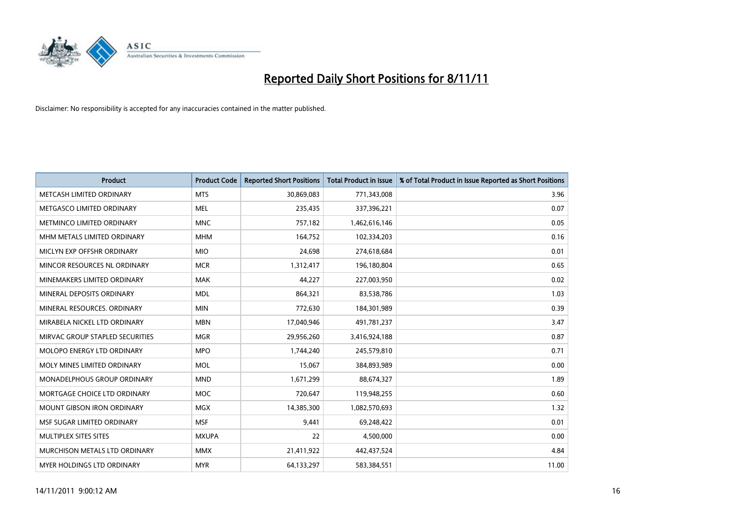

| <b>Product</b>                  | <b>Product Code</b> | <b>Reported Short Positions</b> | <b>Total Product in Issue</b> | % of Total Product in Issue Reported as Short Positions |
|---------------------------------|---------------------|---------------------------------|-------------------------------|---------------------------------------------------------|
| METCASH LIMITED ORDINARY        | <b>MTS</b>          | 30,869,083                      | 771,343,008                   | 3.96                                                    |
| METGASCO LIMITED ORDINARY       | <b>MEL</b>          | 235,435                         | 337,396,221                   | 0.07                                                    |
| METMINCO LIMITED ORDINARY       | <b>MNC</b>          | 757,182                         | 1,462,616,146                 | 0.05                                                    |
| MHM METALS LIMITED ORDINARY     | <b>MHM</b>          | 164,752                         | 102,334,203                   | 0.16                                                    |
| MICLYN EXP OFFSHR ORDINARY      | <b>MIO</b>          | 24,698                          | 274,618,684                   | 0.01                                                    |
| MINCOR RESOURCES NL ORDINARY    | <b>MCR</b>          | 1,312,417                       | 196,180,804                   | 0.65                                                    |
| MINEMAKERS LIMITED ORDINARY     | <b>MAK</b>          | 44,227                          | 227,003,950                   | 0.02                                                    |
| MINERAL DEPOSITS ORDINARY       | <b>MDL</b>          | 864,321                         | 83,538,786                    | 1.03                                                    |
| MINERAL RESOURCES, ORDINARY     | <b>MIN</b>          | 772,630                         | 184,301,989                   | 0.39                                                    |
| MIRABELA NICKEL LTD ORDINARY    | <b>MBN</b>          | 17,040,946                      | 491,781,237                   | 3.47                                                    |
| MIRVAC GROUP STAPLED SECURITIES | <b>MGR</b>          | 29,956,260                      | 3,416,924,188                 | 0.87                                                    |
| MOLOPO ENERGY LTD ORDINARY      | <b>MPO</b>          | 1,744,240                       | 245,579,810                   | 0.71                                                    |
| MOLY MINES LIMITED ORDINARY     | <b>MOL</b>          | 15,067                          | 384,893,989                   | 0.00                                                    |
| MONADELPHOUS GROUP ORDINARY     | <b>MND</b>          | 1,671,299                       | 88,674,327                    | 1.89                                                    |
| MORTGAGE CHOICE LTD ORDINARY    | <b>MOC</b>          | 720,647                         | 119,948,255                   | 0.60                                                    |
| MOUNT GIBSON IRON ORDINARY      | <b>MGX</b>          | 14,385,300                      | 1,082,570,693                 | 1.32                                                    |
| MSF SUGAR LIMITED ORDINARY      | <b>MSF</b>          | 9,441                           | 69,248,422                    | 0.01                                                    |
| MULTIPLEX SITES SITES           | <b>MXUPA</b>        | 22                              | 4,500,000                     | 0.00                                                    |
| MURCHISON METALS LTD ORDINARY   | <b>MMX</b>          | 21,411,922                      | 442,437,524                   | 4.84                                                    |
| MYER HOLDINGS LTD ORDINARY      | <b>MYR</b>          | 64,133,297                      | 583,384,551                   | 11.00                                                   |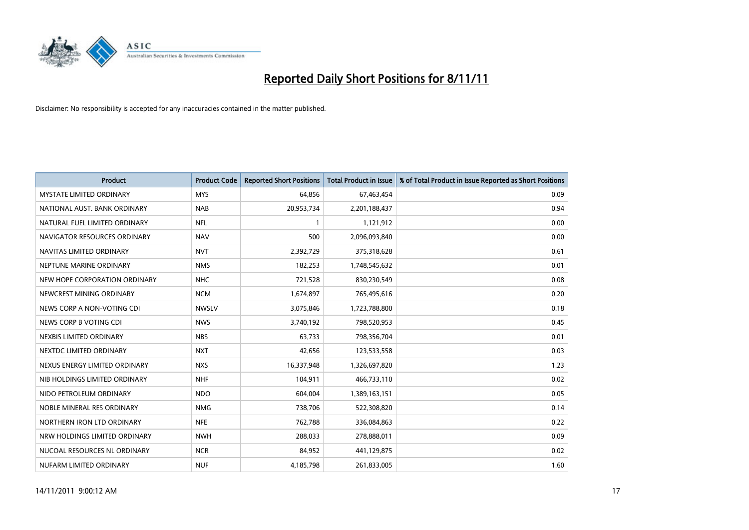

| <b>Product</b>                  | <b>Product Code</b> | <b>Reported Short Positions</b> | <b>Total Product in Issue</b> | % of Total Product in Issue Reported as Short Positions |
|---------------------------------|---------------------|---------------------------------|-------------------------------|---------------------------------------------------------|
| <b>MYSTATE LIMITED ORDINARY</b> | <b>MYS</b>          | 64,856                          | 67,463,454                    | 0.09                                                    |
| NATIONAL AUST. BANK ORDINARY    | <b>NAB</b>          | 20,953,734                      | 2,201,188,437                 | 0.94                                                    |
| NATURAL FUEL LIMITED ORDINARY   | <b>NFL</b>          |                                 | 1,121,912                     | 0.00                                                    |
| NAVIGATOR RESOURCES ORDINARY    | <b>NAV</b>          | 500                             | 2,096,093,840                 | 0.00                                                    |
| NAVITAS LIMITED ORDINARY        | <b>NVT</b>          | 2,392,729                       | 375,318,628                   | 0.61                                                    |
| NEPTUNE MARINE ORDINARY         | <b>NMS</b>          | 182,253                         | 1,748,545,632                 | 0.01                                                    |
| NEW HOPE CORPORATION ORDINARY   | <b>NHC</b>          | 721,528                         | 830,230,549                   | 0.08                                                    |
| NEWCREST MINING ORDINARY        | <b>NCM</b>          | 1,674,897                       | 765,495,616                   | 0.20                                                    |
| NEWS CORP A NON-VOTING CDI      | <b>NWSLV</b>        | 3,075,846                       | 1,723,788,800                 | 0.18                                                    |
| NEWS CORP B VOTING CDI          | <b>NWS</b>          | 3,740,192                       | 798,520,953                   | 0.45                                                    |
| NEXBIS LIMITED ORDINARY         | <b>NBS</b>          | 63,733                          | 798,356,704                   | 0.01                                                    |
| NEXTDC LIMITED ORDINARY         | <b>NXT</b>          | 42,656                          | 123,533,558                   | 0.03                                                    |
| NEXUS ENERGY LIMITED ORDINARY   | <b>NXS</b>          | 16,337,948                      | 1,326,697,820                 | 1.23                                                    |
| NIB HOLDINGS LIMITED ORDINARY   | <b>NHF</b>          | 104,911                         | 466,733,110                   | 0.02                                                    |
| NIDO PETROLEUM ORDINARY         | <b>NDO</b>          | 604,004                         | 1,389,163,151                 | 0.05                                                    |
| NOBLE MINERAL RES ORDINARY      | <b>NMG</b>          | 738,706                         | 522,308,820                   | 0.14                                                    |
| NORTHERN IRON LTD ORDINARY      | <b>NFE</b>          | 762,788                         | 336,084,863                   | 0.22                                                    |
| NRW HOLDINGS LIMITED ORDINARY   | <b>NWH</b>          | 288,033                         | 278,888,011                   | 0.09                                                    |
| NUCOAL RESOURCES NL ORDINARY    | <b>NCR</b>          | 84,952                          | 441,129,875                   | 0.02                                                    |
| NUFARM LIMITED ORDINARY         | <b>NUF</b>          | 4,185,798                       | 261,833,005                   | 1.60                                                    |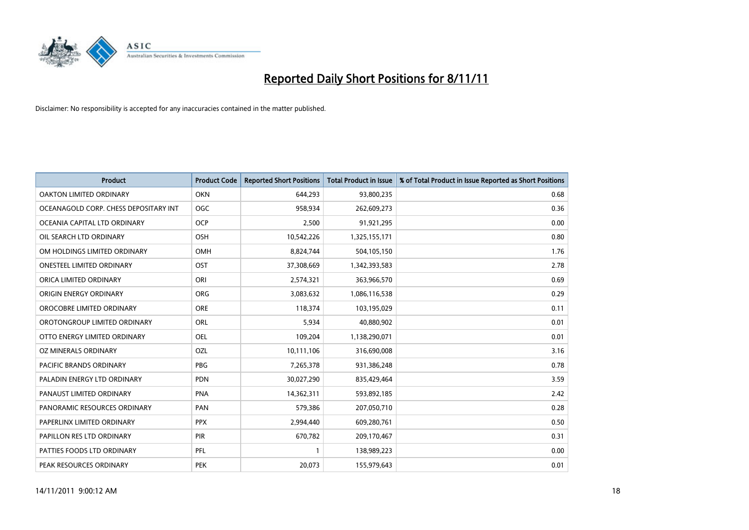

| <b>Product</b>                        | <b>Product Code</b> | <b>Reported Short Positions</b> | <b>Total Product in Issue</b> | % of Total Product in Issue Reported as Short Positions |
|---------------------------------------|---------------------|---------------------------------|-------------------------------|---------------------------------------------------------|
| <b>OAKTON LIMITED ORDINARY</b>        | <b>OKN</b>          | 644,293                         | 93,800,235                    | 0.68                                                    |
| OCEANAGOLD CORP. CHESS DEPOSITARY INT | <b>OGC</b>          | 958,934                         | 262,609,273                   | 0.36                                                    |
| OCEANIA CAPITAL LTD ORDINARY          | <b>OCP</b>          | 2,500                           | 91,921,295                    | 0.00                                                    |
| OIL SEARCH LTD ORDINARY               | <b>OSH</b>          | 10,542,226                      | 1,325,155,171                 | 0.80                                                    |
| OM HOLDINGS LIMITED ORDINARY          | OMH                 | 8,824,744                       | 504,105,150                   | 1.76                                                    |
| <b>ONESTEEL LIMITED ORDINARY</b>      | OST                 | 37,308,669                      | 1,342,393,583                 | 2.78                                                    |
| ORICA LIMITED ORDINARY                | ORI                 | 2,574,321                       | 363,966,570                   | 0.69                                                    |
| ORIGIN ENERGY ORDINARY                | <b>ORG</b>          | 3,083,632                       | 1,086,116,538                 | 0.29                                                    |
| OROCOBRE LIMITED ORDINARY             | <b>ORE</b>          | 118,374                         | 103,195,029                   | 0.11                                                    |
| OROTONGROUP LIMITED ORDINARY          | <b>ORL</b>          | 5,934                           | 40,880,902                    | 0.01                                                    |
| OTTO ENERGY LIMITED ORDINARY          | OEL                 | 109,204                         | 1,138,290,071                 | 0.01                                                    |
| OZ MINERALS ORDINARY                  | OZL                 | 10,111,106                      | 316,690,008                   | 3.16                                                    |
| PACIFIC BRANDS ORDINARY               | <b>PBG</b>          | 7,265,378                       | 931,386,248                   | 0.78                                                    |
| PALADIN ENERGY LTD ORDINARY           | <b>PDN</b>          | 30,027,290                      | 835,429,464                   | 3.59                                                    |
| PANAUST LIMITED ORDINARY              | <b>PNA</b>          | 14,362,311                      | 593,892,185                   | 2.42                                                    |
| PANORAMIC RESOURCES ORDINARY          | PAN                 | 579,386                         | 207,050,710                   | 0.28                                                    |
| PAPERLINX LIMITED ORDINARY            | <b>PPX</b>          | 2,994,440                       | 609,280,761                   | 0.50                                                    |
| PAPILLON RES LTD ORDINARY             | PIR                 | 670,782                         | 209,170,467                   | 0.31                                                    |
| PATTIES FOODS LTD ORDINARY            | PFL                 |                                 | 138,989,223                   | 0.00                                                    |
| PEAK RESOURCES ORDINARY               | <b>PEK</b>          | 20,073                          | 155,979,643                   | 0.01                                                    |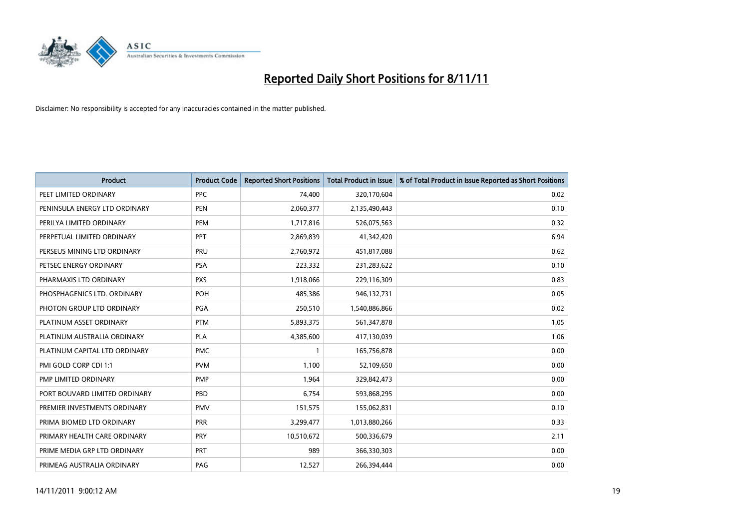

| <b>Product</b>                | <b>Product Code</b> | <b>Reported Short Positions</b> | <b>Total Product in Issue</b> | % of Total Product in Issue Reported as Short Positions |
|-------------------------------|---------------------|---------------------------------|-------------------------------|---------------------------------------------------------|
| PEET LIMITED ORDINARY         | <b>PPC</b>          | 74,400                          | 320,170,604                   | 0.02                                                    |
| PENINSULA ENERGY LTD ORDINARY | <b>PEN</b>          | 2,060,377                       | 2,135,490,443                 | 0.10                                                    |
| PERILYA LIMITED ORDINARY      | PEM                 | 1,717,816                       | 526,075,563                   | 0.32                                                    |
| PERPETUAL LIMITED ORDINARY    | PPT                 | 2,869,839                       | 41,342,420                    | 6.94                                                    |
| PERSEUS MINING LTD ORDINARY   | PRU                 | 2,760,972                       | 451,817,088                   | 0.62                                                    |
| PETSEC ENERGY ORDINARY        | <b>PSA</b>          | 223,332                         | 231,283,622                   | 0.10                                                    |
| PHARMAXIS LTD ORDINARY        | <b>PXS</b>          | 1,918,066                       | 229,116,309                   | 0.83                                                    |
| PHOSPHAGENICS LTD. ORDINARY   | <b>POH</b>          | 485,386                         | 946,132,731                   | 0.05                                                    |
| PHOTON GROUP LTD ORDINARY     | PGA                 | 250,510                         | 1,540,886,866                 | 0.02                                                    |
| PLATINUM ASSET ORDINARY       | <b>PTM</b>          | 5,893,375                       | 561,347,878                   | 1.05                                                    |
| PLATINUM AUSTRALIA ORDINARY   | <b>PLA</b>          | 4,385,600                       | 417,130,039                   | 1.06                                                    |
| PLATINUM CAPITAL LTD ORDINARY | <b>PMC</b>          |                                 | 165,756,878                   | 0.00                                                    |
| PMI GOLD CORP CDI 1:1         | <b>PVM</b>          | 1,100                           | 52,109,650                    | 0.00                                                    |
| <b>PMP LIMITED ORDINARY</b>   | <b>PMP</b>          | 1,964                           | 329,842,473                   | 0.00                                                    |
| PORT BOUVARD LIMITED ORDINARY | PBD                 | 6,754                           | 593,868,295                   | 0.00                                                    |
| PREMIER INVESTMENTS ORDINARY  | <b>PMV</b>          | 151,575                         | 155,062,831                   | 0.10                                                    |
| PRIMA BIOMED LTD ORDINARY     | <b>PRR</b>          | 3,299,477                       | 1,013,880,266                 | 0.33                                                    |
| PRIMARY HEALTH CARE ORDINARY  | <b>PRY</b>          | 10,510,672                      | 500,336,679                   | 2.11                                                    |
| PRIME MEDIA GRP LTD ORDINARY  | <b>PRT</b>          | 989                             | 366,330,303                   | 0.00                                                    |
| PRIMEAG AUSTRALIA ORDINARY    | PAG                 | 12,527                          | 266.394.444                   | 0.00                                                    |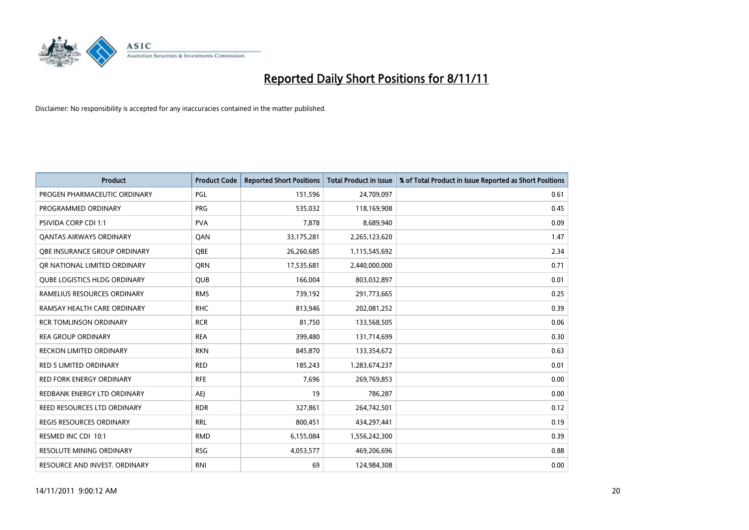

| <b>Product</b>                      | <b>Product Code</b> | <b>Reported Short Positions</b> | <b>Total Product in Issue</b> | % of Total Product in Issue Reported as Short Positions |
|-------------------------------------|---------------------|---------------------------------|-------------------------------|---------------------------------------------------------|
| PROGEN PHARMACEUTIC ORDINARY        | <b>PGL</b>          | 151,596                         | 24,709,097                    | 0.61                                                    |
| PROGRAMMED ORDINARY                 | <b>PRG</b>          | 535,032                         | 118,169,908                   | 0.45                                                    |
| <b>PSIVIDA CORP CDI 1:1</b>         | <b>PVA</b>          | 7,878                           | 8,689,940                     | 0.09                                                    |
| <b>QANTAS AIRWAYS ORDINARY</b>      | QAN                 | 33,175,281                      | 2,265,123,620                 | 1.47                                                    |
| <b>OBE INSURANCE GROUP ORDINARY</b> | <b>OBE</b>          | 26,260,685                      | 1,115,545,692                 | 2.34                                                    |
| OR NATIONAL LIMITED ORDINARY        | <b>ORN</b>          | 17,535,681                      | 2,440,000,000                 | 0.71                                                    |
| <b>QUBE LOGISTICS HLDG ORDINARY</b> | <b>QUB</b>          | 166,004                         | 803,032,897                   | 0.01                                                    |
| RAMELIUS RESOURCES ORDINARY         | <b>RMS</b>          | 739,192                         | 291,773,665                   | 0.25                                                    |
| RAMSAY HEALTH CARE ORDINARY         | <b>RHC</b>          | 813,946                         | 202,081,252                   | 0.39                                                    |
| <b>RCR TOMLINSON ORDINARY</b>       | <b>RCR</b>          | 81,750                          | 133,568,505                   | 0.06                                                    |
| <b>REA GROUP ORDINARY</b>           | <b>REA</b>          | 399,480                         | 131,714,699                   | 0.30                                                    |
| <b>RECKON LIMITED ORDINARY</b>      | <b>RKN</b>          | 845,870                         | 133,354,672                   | 0.63                                                    |
| RED 5 LIMITED ORDINARY              | <b>RED</b>          | 185,243                         | 1,283,674,237                 | 0.01                                                    |
| <b>RED FORK ENERGY ORDINARY</b>     | <b>RFE</b>          | 7,696                           | 269,769,853                   | 0.00                                                    |
| REDBANK ENERGY LTD ORDINARY         | <b>AEJ</b>          | 19                              | 786,287                       | 0.00                                                    |
| REED RESOURCES LTD ORDINARY         | <b>RDR</b>          | 327,861                         | 264,742,501                   | 0.12                                                    |
| REGIS RESOURCES ORDINARY            | <b>RRL</b>          | 800,451                         | 434,297,441                   | 0.19                                                    |
| RESMED INC CDI 10:1                 | <b>RMD</b>          | 6,155,084                       | 1,556,242,300                 | 0.39                                                    |
| <b>RESOLUTE MINING ORDINARY</b>     | <b>RSG</b>          | 4,053,577                       | 469,206,696                   | 0.88                                                    |
| RESOURCE AND INVEST. ORDINARY       | <b>RNI</b>          | 69                              | 124,984,308                   | 0.00                                                    |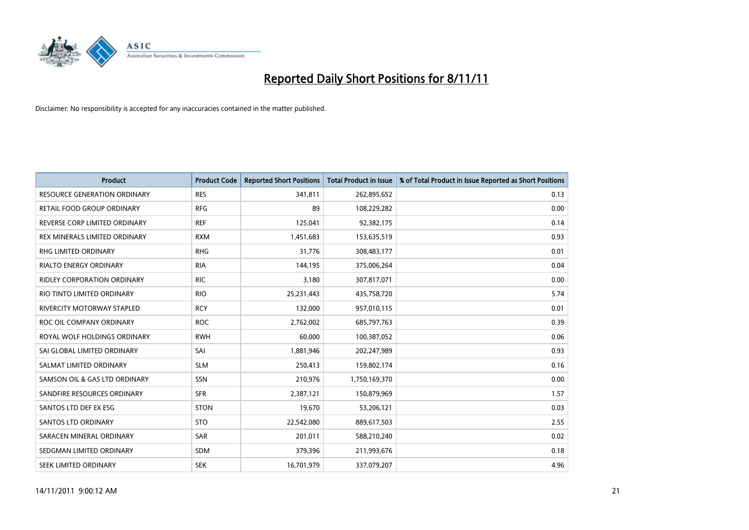

| <b>Product</b>                      | <b>Product Code</b> | <b>Reported Short Positions</b> | <b>Total Product in Issue</b> | % of Total Product in Issue Reported as Short Positions |
|-------------------------------------|---------------------|---------------------------------|-------------------------------|---------------------------------------------------------|
| <b>RESOURCE GENERATION ORDINARY</b> | <b>RES</b>          | 341,811                         | 262,895,652                   | 0.13                                                    |
| RETAIL FOOD GROUP ORDINARY          | <b>RFG</b>          | 89                              | 108,229,282                   | 0.00                                                    |
| REVERSE CORP LIMITED ORDINARY       | <b>REF</b>          | 125,041                         | 92,382,175                    | 0.14                                                    |
| REX MINERALS LIMITED ORDINARY       | <b>RXM</b>          | 1,451,683                       | 153,635,519                   | 0.93                                                    |
| <b>RHG LIMITED ORDINARY</b>         | <b>RHG</b>          | 31,776                          | 308,483,177                   | 0.01                                                    |
| <b>RIALTO ENERGY ORDINARY</b>       | <b>RIA</b>          | 144,195                         | 375,006,264                   | 0.04                                                    |
| <b>RIDLEY CORPORATION ORDINARY</b>  | <b>RIC</b>          | 3,180                           | 307,817,071                   | 0.00                                                    |
| RIO TINTO LIMITED ORDINARY          | <b>RIO</b>          | 25,231,443                      | 435,758,720                   | 5.74                                                    |
| <b>RIVERCITY MOTORWAY STAPLED</b>   | <b>RCY</b>          | 132,000                         | 957,010,115                   | 0.01                                                    |
| ROC OIL COMPANY ORDINARY            | <b>ROC</b>          | 2,762,002                       | 685,797,763                   | 0.39                                                    |
| ROYAL WOLF HOLDINGS ORDINARY        | <b>RWH</b>          | 60,000                          | 100,387,052                   | 0.06                                                    |
| SAI GLOBAL LIMITED ORDINARY         | SAI                 | 1,881,946                       | 202,247,989                   | 0.93                                                    |
| SALMAT LIMITED ORDINARY             | <b>SLM</b>          | 250,413                         | 159,802,174                   | 0.16                                                    |
| SAMSON OIL & GAS LTD ORDINARY       | SSN                 | 210,976                         | 1,750,169,370                 | 0.00                                                    |
| SANDFIRE RESOURCES ORDINARY         | <b>SFR</b>          | 2,387,121                       | 150,879,969                   | 1.57                                                    |
| SANTOS LTD DEF EX ESG               | <b>STON</b>         | 19,670                          | 53,206,121                    | 0.03                                                    |
| SANTOS LTD ORDINARY                 | <b>STO</b>          | 22,542,080                      | 889,617,503                   | 2.55                                                    |
| SARACEN MINERAL ORDINARY            | <b>SAR</b>          | 201,011                         | 588,210,240                   | 0.02                                                    |
| SEDGMAN LIMITED ORDINARY            | <b>SDM</b>          | 379,396                         | 211,993,676                   | 0.18                                                    |
| SEEK LIMITED ORDINARY               | <b>SEK</b>          | 16,701,979                      | 337,079,207                   | 4.96                                                    |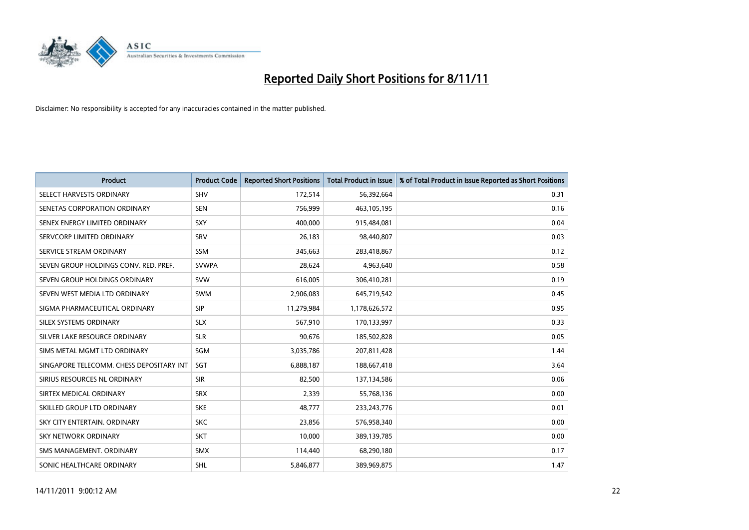

| Product                                  | <b>Product Code</b> | <b>Reported Short Positions</b> | <b>Total Product in Issue</b> | % of Total Product in Issue Reported as Short Positions |
|------------------------------------------|---------------------|---------------------------------|-------------------------------|---------------------------------------------------------|
| SELECT HARVESTS ORDINARY                 | <b>SHV</b>          | 172,514                         | 56,392,664                    | 0.31                                                    |
| SENETAS CORPORATION ORDINARY             | <b>SEN</b>          | 756,999                         | 463,105,195                   | 0.16                                                    |
| SENEX ENERGY LIMITED ORDINARY            | <b>SXY</b>          | 400.000                         | 915,484,081                   | 0.04                                                    |
| SERVCORP LIMITED ORDINARY                | SRV                 | 26,183                          | 98,440,807                    | 0.03                                                    |
| SERVICE STREAM ORDINARY                  | <b>SSM</b>          | 345,663                         | 283,418,867                   | 0.12                                                    |
| SEVEN GROUP HOLDINGS CONV. RED. PREF.    | <b>SVWPA</b>        | 28,624                          | 4,963,640                     | 0.58                                                    |
| SEVEN GROUP HOLDINGS ORDINARY            | <b>SVW</b>          | 616.005                         | 306,410,281                   | 0.19                                                    |
| SEVEN WEST MEDIA LTD ORDINARY            | <b>SWM</b>          | 2,906,083                       | 645,719,542                   | 0.45                                                    |
| SIGMA PHARMACEUTICAL ORDINARY            | <b>SIP</b>          | 11,279,984                      | 1,178,626,572                 | 0.95                                                    |
| SILEX SYSTEMS ORDINARY                   | <b>SLX</b>          | 567,910                         | 170,133,997                   | 0.33                                                    |
| SILVER LAKE RESOURCE ORDINARY            | <b>SLR</b>          | 90,676                          | 185,502,828                   | 0.05                                                    |
| SIMS METAL MGMT LTD ORDINARY             | <b>SGM</b>          | 3,035,786                       | 207,811,428                   | 1.44                                                    |
| SINGAPORE TELECOMM. CHESS DEPOSITARY INT | SGT                 | 6,888,187                       | 188,667,418                   | 3.64                                                    |
| SIRIUS RESOURCES NL ORDINARY             | <b>SIR</b>          | 82,500                          | 137,134,586                   | 0.06                                                    |
| SIRTEX MEDICAL ORDINARY                  | <b>SRX</b>          | 2,339                           | 55,768,136                    | 0.00                                                    |
| SKILLED GROUP LTD ORDINARY               | <b>SKE</b>          | 48,777                          | 233, 243, 776                 | 0.01                                                    |
| SKY CITY ENTERTAIN, ORDINARY             | <b>SKC</b>          | 23,856                          | 576,958,340                   | 0.00                                                    |
| <b>SKY NETWORK ORDINARY</b>              | <b>SKT</b>          | 10,000                          | 389,139,785                   | 0.00                                                    |
| SMS MANAGEMENT, ORDINARY                 | <b>SMX</b>          | 114,440                         | 68,290,180                    | 0.17                                                    |
| SONIC HEALTHCARE ORDINARY                | <b>SHL</b>          | 5,846,877                       | 389,969,875                   | 1.47                                                    |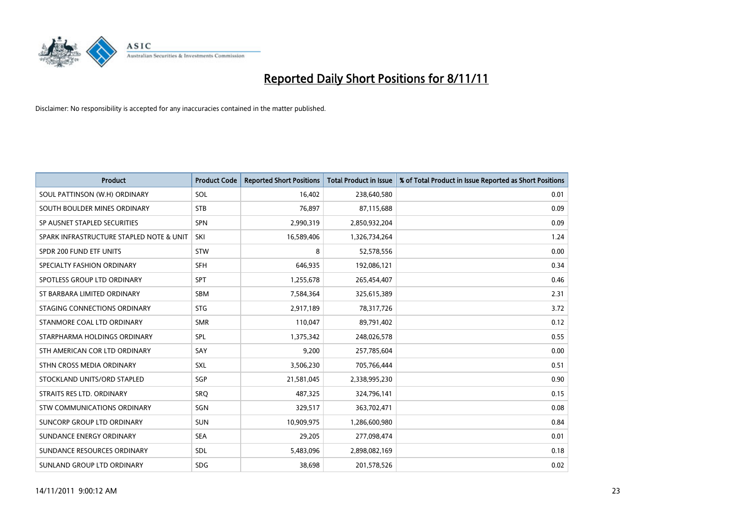

| <b>Product</b>                           | <b>Product Code</b> | <b>Reported Short Positions</b> | <b>Total Product in Issue</b> | % of Total Product in Issue Reported as Short Positions |
|------------------------------------------|---------------------|---------------------------------|-------------------------------|---------------------------------------------------------|
| SOUL PATTINSON (W.H) ORDINARY            | SOL                 | 16.402                          | 238,640,580                   | 0.01                                                    |
| SOUTH BOULDER MINES ORDINARY             | <b>STB</b>          | 76,897                          | 87,115,688                    | 0.09                                                    |
| SP AUSNET STAPLED SECURITIES             | <b>SPN</b>          | 2,990,319                       | 2,850,932,204                 | 0.09                                                    |
| SPARK INFRASTRUCTURE STAPLED NOTE & UNIT | SKI                 | 16,589,406                      | 1,326,734,264                 | 1.24                                                    |
| SPDR 200 FUND ETF UNITS                  | <b>STW</b>          | 8                               | 52,578,556                    | 0.00                                                    |
| SPECIALTY FASHION ORDINARY               | <b>SFH</b>          | 646,935                         | 192,086,121                   | 0.34                                                    |
| SPOTLESS GROUP LTD ORDINARY              | <b>SPT</b>          | 1,255,678                       | 265,454,407                   | 0.46                                                    |
| ST BARBARA LIMITED ORDINARY              | <b>SBM</b>          | 7,584,364                       | 325,615,389                   | 2.31                                                    |
| STAGING CONNECTIONS ORDINARY             | <b>STG</b>          | 2,917,189                       | 78,317,726                    | 3.72                                                    |
| STANMORE COAL LTD ORDINARY               | <b>SMR</b>          | 110,047                         | 89,791,402                    | 0.12                                                    |
| STARPHARMA HOLDINGS ORDINARY             | SPL                 | 1,375,342                       | 248,026,578                   | 0.55                                                    |
| STH AMERICAN COR LTD ORDINARY            | SAY                 | 9,200                           | 257,785,604                   | 0.00                                                    |
| STHN CROSS MEDIA ORDINARY                | <b>SXL</b>          | 3,506,230                       | 705,766,444                   | 0.51                                                    |
| STOCKLAND UNITS/ORD STAPLED              | <b>SGP</b>          | 21,581,045                      | 2,338,995,230                 | 0.90                                                    |
| STRAITS RES LTD. ORDINARY                | SRO                 | 487,325                         | 324,796,141                   | 0.15                                                    |
| STW COMMUNICATIONS ORDINARY              | SGN                 | 329,517                         | 363,702,471                   | 0.08                                                    |
| SUNCORP GROUP LTD ORDINARY               | <b>SUN</b>          | 10,909,975                      | 1,286,600,980                 | 0.84                                                    |
| SUNDANCE ENERGY ORDINARY                 | <b>SEA</b>          | 29,205                          | 277,098,474                   | 0.01                                                    |
| SUNDANCE RESOURCES ORDINARY              | <b>SDL</b>          | 5,483,096                       | 2,898,082,169                 | 0.18                                                    |
| SUNLAND GROUP LTD ORDINARY               | <b>SDG</b>          | 38,698                          | 201,578,526                   | 0.02                                                    |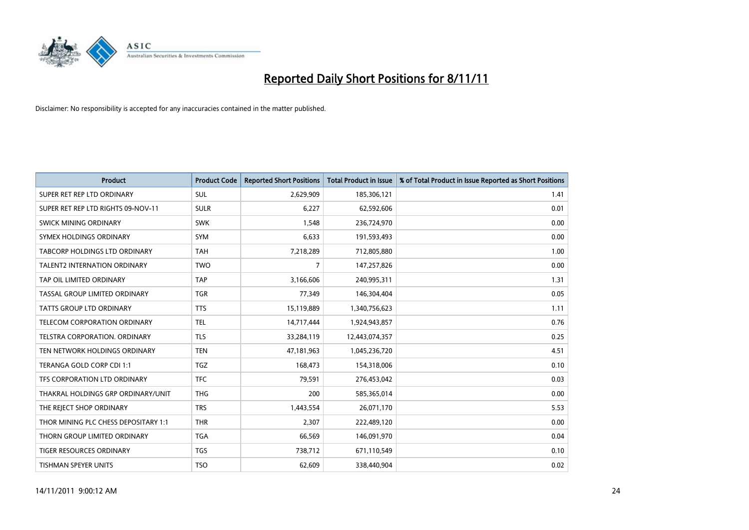

| <b>Product</b>                       | <b>Product Code</b> | <b>Reported Short Positions</b> | <b>Total Product in Issue</b> | % of Total Product in Issue Reported as Short Positions |
|--------------------------------------|---------------------|---------------------------------|-------------------------------|---------------------------------------------------------|
| SUPER RET REP LTD ORDINARY           | <b>SUL</b>          | 2,629,909                       | 185,306,121                   | 1.41                                                    |
| SUPER RET REP LTD RIGHTS 09-NOV-11   | <b>SULR</b>         | 6,227                           | 62,592,606                    | 0.01                                                    |
| <b>SWICK MINING ORDINARY</b>         | <b>SWK</b>          | 1,548                           | 236,724,970                   | 0.00                                                    |
| SYMEX HOLDINGS ORDINARY              | <b>SYM</b>          | 6,633                           | 191,593,493                   | 0.00                                                    |
| <b>TABCORP HOLDINGS LTD ORDINARY</b> | <b>TAH</b>          | 7,218,289                       | 712,805,880                   | 1.00                                                    |
| <b>TALENT2 INTERNATION ORDINARY</b>  | <b>TWO</b>          | 7                               | 147,257,826                   | 0.00                                                    |
| TAP OIL LIMITED ORDINARY             | <b>TAP</b>          | 3,166,606                       | 240,995,311                   | 1.31                                                    |
| TASSAL GROUP LIMITED ORDINARY        | <b>TGR</b>          | 77,349                          | 146,304,404                   | 0.05                                                    |
| <b>TATTS GROUP LTD ORDINARY</b>      | <b>TTS</b>          | 15,119,889                      | 1,340,756,623                 | 1.11                                                    |
| TELECOM CORPORATION ORDINARY         | <b>TEL</b>          | 14,717,444                      | 1,924,943,857                 | 0.76                                                    |
| TELSTRA CORPORATION. ORDINARY        | <b>TLS</b>          | 33,284,119                      | 12,443,074,357                | 0.25                                                    |
| TEN NETWORK HOLDINGS ORDINARY        | <b>TEN</b>          | 47,181,963                      | 1,045,236,720                 | 4.51                                                    |
| TERANGA GOLD CORP CDI 1:1            | <b>TGZ</b>          | 168,473                         | 154,318,006                   | 0.10                                                    |
| TFS CORPORATION LTD ORDINARY         | <b>TFC</b>          | 79,591                          | 276,453,042                   | 0.03                                                    |
| THAKRAL HOLDINGS GRP ORDINARY/UNIT   | <b>THG</b>          | 200                             | 585,365,014                   | 0.00                                                    |
| THE REJECT SHOP ORDINARY             | <b>TRS</b>          | 1,443,554                       | 26,071,170                    | 5.53                                                    |
| THOR MINING PLC CHESS DEPOSITARY 1:1 | <b>THR</b>          | 2,307                           | 222,489,120                   | 0.00                                                    |
| THORN GROUP LIMITED ORDINARY         | <b>TGA</b>          | 66,569                          | 146,091,970                   | 0.04                                                    |
| <b>TIGER RESOURCES ORDINARY</b>      | <b>TGS</b>          | 738,712                         | 671,110,549                   | 0.10                                                    |
| <b>TISHMAN SPEYER UNITS</b>          | <b>TSO</b>          | 62,609                          | 338,440,904                   | 0.02                                                    |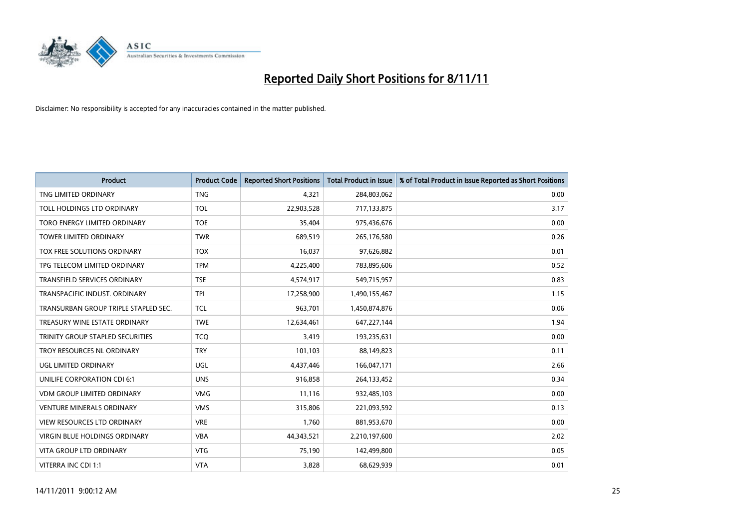

| <b>Product</b>                       | <b>Product Code</b> | <b>Reported Short Positions</b> | <b>Total Product in Issue</b> | % of Total Product in Issue Reported as Short Positions |
|--------------------------------------|---------------------|---------------------------------|-------------------------------|---------------------------------------------------------|
| TNG LIMITED ORDINARY                 | <b>TNG</b>          | 4,321                           | 284,803,062                   | 0.00                                                    |
| TOLL HOLDINGS LTD ORDINARY           | <b>TOL</b>          | 22,903,528                      | 717,133,875                   | 3.17                                                    |
| TORO ENERGY LIMITED ORDINARY         | <b>TOE</b>          | 35,404                          | 975,436,676                   | 0.00                                                    |
| TOWER LIMITED ORDINARY               | <b>TWR</b>          | 689,519                         | 265,176,580                   | 0.26                                                    |
| <b>TOX FREE SOLUTIONS ORDINARY</b>   | <b>TOX</b>          | 16,037                          | 97,626,882                    | 0.01                                                    |
| TPG TELECOM LIMITED ORDINARY         | <b>TPM</b>          | 4,225,400                       | 783,895,606                   | 0.52                                                    |
| TRANSFIELD SERVICES ORDINARY         | <b>TSE</b>          | 4,574,917                       | 549,715,957                   | 0.83                                                    |
| TRANSPACIFIC INDUST, ORDINARY        | <b>TPI</b>          | 17,258,900                      | 1,490,155,467                 | 1.15                                                    |
| TRANSURBAN GROUP TRIPLE STAPLED SEC. | <b>TCL</b>          | 963,701                         | 1,450,874,876                 | 0.06                                                    |
| TREASURY WINE ESTATE ORDINARY        | <b>TWE</b>          | 12,634,461                      | 647,227,144                   | 1.94                                                    |
| TRINITY GROUP STAPLED SECURITIES     | <b>TCO</b>          | 3,419                           | 193,235,631                   | 0.00                                                    |
| TROY RESOURCES NL ORDINARY           | <b>TRY</b>          | 101,103                         | 88,149,823                    | 0.11                                                    |
| UGL LIMITED ORDINARY                 | UGL                 | 4,437,446                       | 166,047,171                   | 2.66                                                    |
| UNILIFE CORPORATION CDI 6:1          | <b>UNS</b>          | 916,858                         | 264,133,452                   | 0.34                                                    |
| <b>VDM GROUP LIMITED ORDINARY</b>    | <b>VMG</b>          | 11,116                          | 932,485,103                   | 0.00                                                    |
| <b>VENTURE MINERALS ORDINARY</b>     | <b>VMS</b>          | 315,806                         | 221,093,592                   | 0.13                                                    |
| VIEW RESOURCES LTD ORDINARY          | <b>VRE</b>          | 1,760                           | 881,953,670                   | 0.00                                                    |
| VIRGIN BLUE HOLDINGS ORDINARY        | <b>VBA</b>          | 44,343,521                      | 2,210,197,600                 | 2.02                                                    |
| <b>VITA GROUP LTD ORDINARY</b>       | <b>VTG</b>          | 75,190                          | 142,499,800                   | 0.05                                                    |
| VITERRA INC CDI 1:1                  | <b>VTA</b>          | 3,828                           | 68,629,939                    | 0.01                                                    |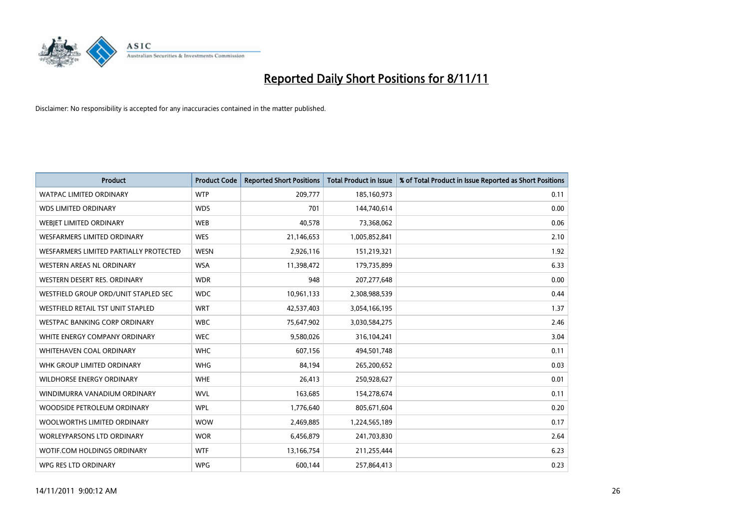

| <b>Product</b>                         | <b>Product Code</b> | <b>Reported Short Positions</b> | <b>Total Product in Issue</b> | % of Total Product in Issue Reported as Short Positions |
|----------------------------------------|---------------------|---------------------------------|-------------------------------|---------------------------------------------------------|
| <b>WATPAC LIMITED ORDINARY</b>         | <b>WTP</b>          | 209,777                         | 185,160,973                   | 0.11                                                    |
| <b>WDS LIMITED ORDINARY</b>            | <b>WDS</b>          | 701                             | 144,740,614                   | 0.00                                                    |
| WEBIET LIMITED ORDINARY                | <b>WEB</b>          | 40,578                          | 73,368,062                    | 0.06                                                    |
| <b>WESFARMERS LIMITED ORDINARY</b>     | <b>WES</b>          | 21,146,653                      | 1,005,852,841                 | 2.10                                                    |
| WESFARMERS LIMITED PARTIALLY PROTECTED | <b>WESN</b>         | 2,926,116                       | 151,219,321                   | 1.92                                                    |
| <b>WESTERN AREAS NL ORDINARY</b>       | <b>WSA</b>          | 11,398,472                      | 179,735,899                   | 6.33                                                    |
| WESTERN DESERT RES. ORDINARY           | <b>WDR</b>          | 948                             | 207, 277, 648                 | 0.00                                                    |
| WESTFIELD GROUP ORD/UNIT STAPLED SEC   | <b>WDC</b>          | 10,961,133                      | 2,308,988,539                 | 0.44                                                    |
| WESTFIELD RETAIL TST UNIT STAPLED      | <b>WRT</b>          | 42,537,403                      | 3,054,166,195                 | 1.37                                                    |
| WESTPAC BANKING CORP ORDINARY          | <b>WBC</b>          | 75,647,902                      | 3,030,584,275                 | 2.46                                                    |
| WHITE ENERGY COMPANY ORDINARY          | <b>WEC</b>          | 9,580,026                       | 316,104,241                   | 3.04                                                    |
| <b>WHITEHAVEN COAL ORDINARY</b>        | <b>WHC</b>          | 607,156                         | 494,501,748                   | 0.11                                                    |
| WHK GROUP LIMITED ORDINARY             | <b>WHG</b>          | 84,194                          | 265,200,652                   | 0.03                                                    |
| <b>WILDHORSE ENERGY ORDINARY</b>       | <b>WHE</b>          | 26,413                          | 250,928,627                   | 0.01                                                    |
| WINDIMURRA VANADIUM ORDINARY           | <b>WVL</b>          | 163,685                         | 154,278,674                   | 0.11                                                    |
| WOODSIDE PETROLEUM ORDINARY            | <b>WPL</b>          | 1,776,640                       | 805,671,604                   | 0.20                                                    |
| WOOLWORTHS LIMITED ORDINARY            | <b>WOW</b>          | 2,469,885                       | 1,224,565,189                 | 0.17                                                    |
| WORLEYPARSONS LTD ORDINARY             | <b>WOR</b>          | 6,456,879                       | 241,703,830                   | 2.64                                                    |
| WOTIF.COM HOLDINGS ORDINARY            | <b>WTF</b>          | 13,166,754                      | 211,255,444                   | 6.23                                                    |
| WPG RES LTD ORDINARY                   | <b>WPG</b>          | 600,144                         | 257,864,413                   | 0.23                                                    |